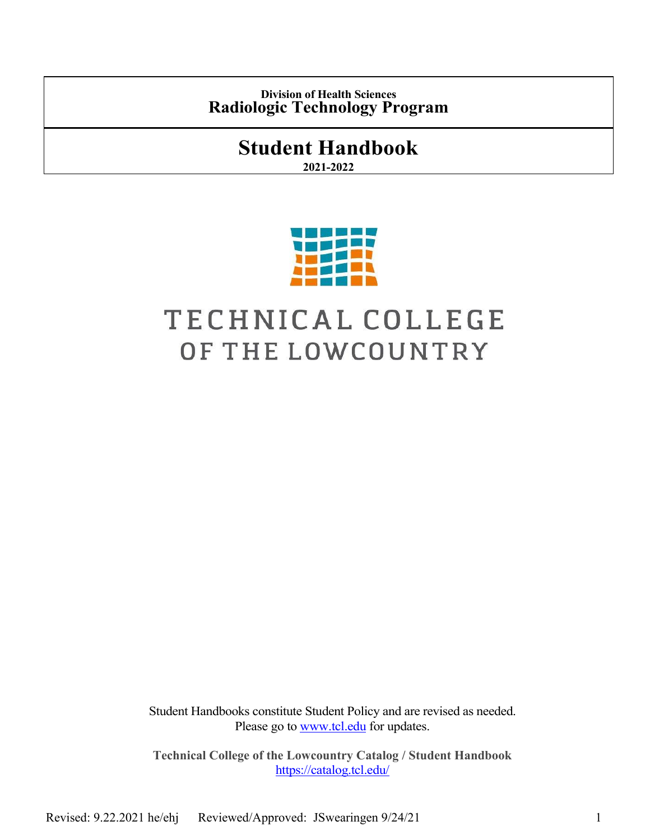**Division of Health Sciences Radiologic Technology Program**

# **Student Handbook**

**2021-2022**



# TECHNICAL COLLEGE OF THE LOWCOUNTRY

Student Handbooks constitute Student Policy and are revised as needed. Please go to [www.tcl.edu](http://www.tcl.edu/) for updates.

**Technical College of the Lowcountry Catalog / Student Handbook** <https://catalog.tcl.edu/>

Revised: 9.22.2021 he/ehj Reviewed/Approved: JSwearingen 9/24/21 1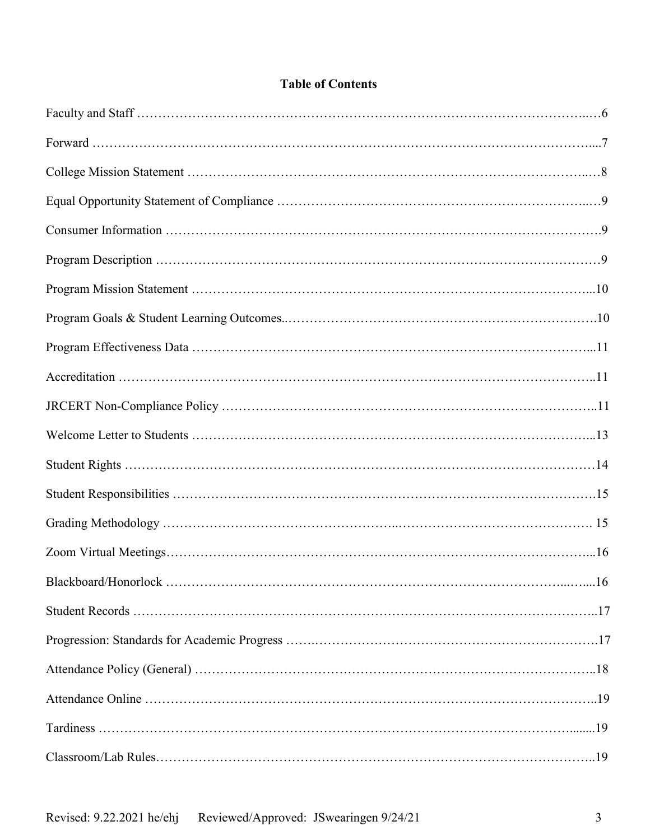# **Table of Contents**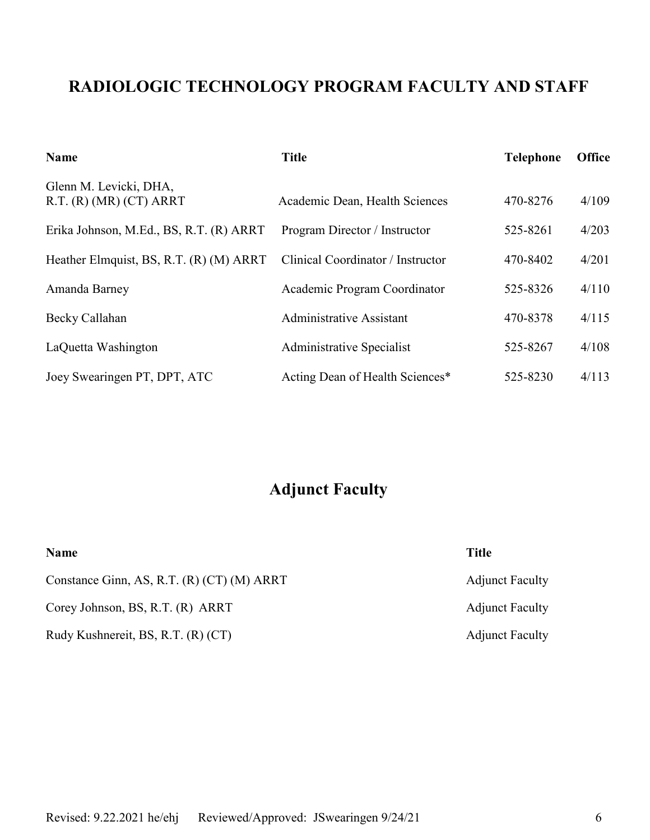# **RADIOLOGIC TECHNOLOGY PROGRAM FACULTY AND STAFF**

| <b>Name</b>                                           | <b>Title</b>                      | <b>Telephone</b> | <b>Office</b> |
|-------------------------------------------------------|-----------------------------------|------------------|---------------|
| Glenn M. Levicki, DHA,<br>R.T. $(R)$ (MR) $(CT)$ ARRT | Academic Dean, Health Sciences    | 470-8276         | 4/109         |
| Erika Johnson, M.Ed., BS, R.T. (R) ARRT               | Program Director / Instructor     | 525-8261         | 4/203         |
| Heather Elmquist, BS, R.T. (R) (M) ARRT               | Clinical Coordinator / Instructor | 470-8402         | 4/201         |
| Amanda Barney                                         | Academic Program Coordinator      | 525-8326         | 4/110         |
| Becky Callahan                                        | <b>Administrative Assistant</b>   | 470-8378         | 4/115         |
| LaQuetta Washington                                   | Administrative Specialist         | 525-8267         | 4/108         |
| Joey Swearingen PT, DPT, ATC                          | Acting Dean of Health Sciences*   | 525-8230         | 4/113         |

# **Adjunct Faculty**

| <b>Name</b>                                | <b>Title</b>           |
|--------------------------------------------|------------------------|
| Constance Ginn, AS, R.T. (R) (CT) (M) ARRT | <b>Adjunct Faculty</b> |
| Corey Johnson, BS, R.T. (R) ARRT           | <b>Adjunct Faculty</b> |
| Rudy Kushnereit, BS, R.T. (R) (CT)         | <b>Adjunct Faculty</b> |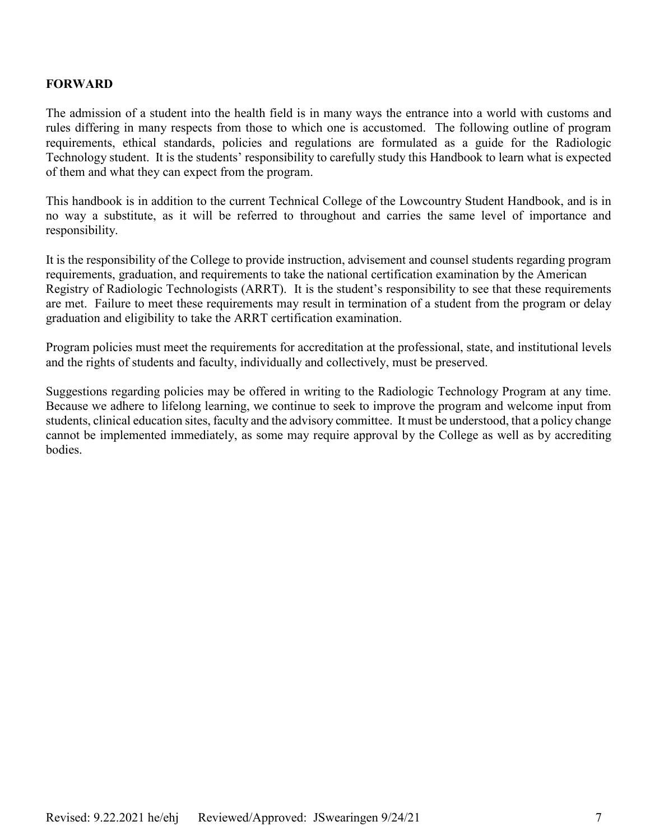#### **FORWARD**

The admission of a student into the health field is in many ways the entrance into a world with customs and rules differing in many respects from those to which one is accustomed. The following outline of program requirements, ethical standards, policies and regulations are formulated as a guide for the Radiologic Technology student. It is the students' responsibility to carefully study this Handbook to learn what is expected of them and what they can expect from the program.

This handbook is in addition to the current Technical College of the Lowcountry Student Handbook, and is in no way a substitute, as it will be referred to throughout and carries the same level of importance and responsibility.

It is the responsibility of the College to provide instruction, advisement and counsel students regarding program requirements, graduation, and requirements to take the national certification examination by the American Registry of Radiologic Technologists (ARRT). It is the student's responsibility to see that these requirements are met. Failure to meet these requirements may result in termination of a student from the program or delay graduation and eligibility to take the ARRT certification examination.

Program policies must meet the requirements for accreditation at the professional, state, and institutional levels and the rights of students and faculty, individually and collectively, must be preserved.

Suggestions regarding policies may be offered in writing to the Radiologic Technology Program at any time. Because we adhere to lifelong learning, we continue to seek to improve the program and welcome input from students, clinical education sites, faculty and the advisory committee. It must be understood, that a policy change cannot be implemented immediately, as some may require approval by the College as well as by accrediting bodies.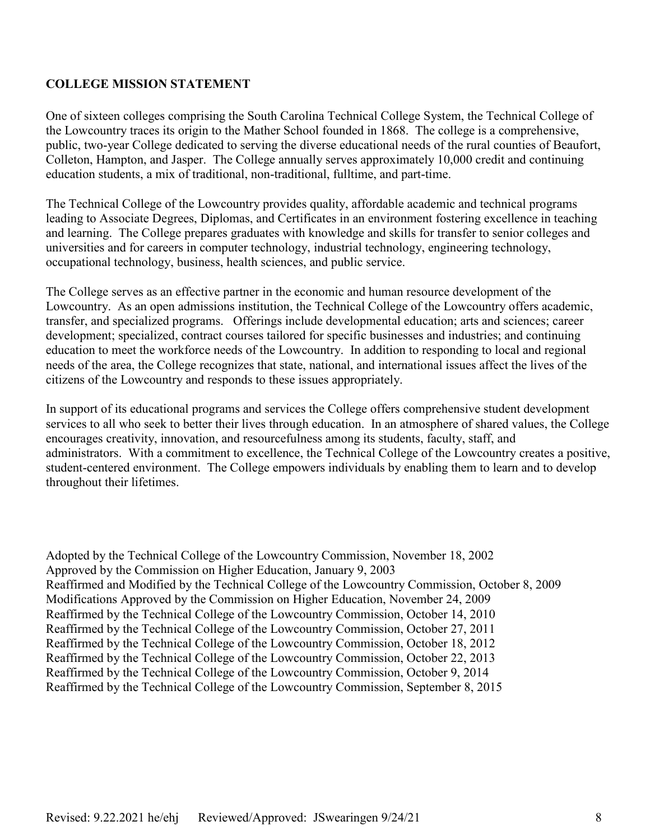# **COLLEGE MISSION STATEMENT**

One of sixteen colleges comprising the South Carolina Technical College System, the Technical College of the Lowcountry traces its origin to the Mather School founded in 1868. The college is a comprehensive, public, two-year College dedicated to serving the diverse educational needs of the rural counties of Beaufort, Colleton, Hampton, and Jasper. The College annually serves approximately 10,000 credit and continuing education students, a mix of traditional, non-traditional, fulltime, and part-time.

The Technical College of the Lowcountry provides quality, affordable academic and technical programs leading to Associate Degrees, Diplomas, and Certificates in an environment fostering excellence in teaching and learning. The College prepares graduates with knowledge and skills for transfer to senior colleges and universities and for careers in computer technology, industrial technology, engineering technology, occupational technology, business, health sciences, and public service.

The College serves as an effective partner in the economic and human resource development of the Lowcountry. As an open admissions institution, the Technical College of the Lowcountry offers academic, transfer, and specialized programs. Offerings include developmental education; arts and sciences; career development; specialized, contract courses tailored for specific businesses and industries; and continuing education to meet the workforce needs of the Lowcountry. In addition to responding to local and regional needs of the area, the College recognizes that state, national, and international issues affect the lives of the citizens of the Lowcountry and responds to these issues appropriately.

In support of its educational programs and services the College offers comprehensive student development services to all who seek to better their lives through education. In an atmosphere of shared values, the College encourages creativity, innovation, and resourcefulness among its students, faculty, staff, and administrators. With a commitment to excellence, the Technical College of the Lowcountry creates a positive, student-centered environment. The College empowers individuals by enabling them to learn and to develop throughout their lifetimes.

Adopted by the Technical College of the Lowcountry Commission, November 18, 2002 Approved by the Commission on Higher Education, January 9, 2003 Reaffirmed and Modified by the Technical College of the Lowcountry Commission, October 8, 2009 Modifications Approved by the Commission on Higher Education, November 24, 2009 Reaffirmed by the Technical College of the Lowcountry Commission, October 14, 2010 Reaffirmed by the Technical College of the Lowcountry Commission, October 27, 2011 Reaffirmed by the Technical College of the Lowcountry Commission, October 18, 2012 Reaffirmed by the Technical College of the Lowcountry Commission, October 22, 2013 Reaffirmed by the Technical College of the Lowcountry Commission, October 9, 2014 Reaffirmed by the Technical College of the Lowcountry Commission, September 8, 2015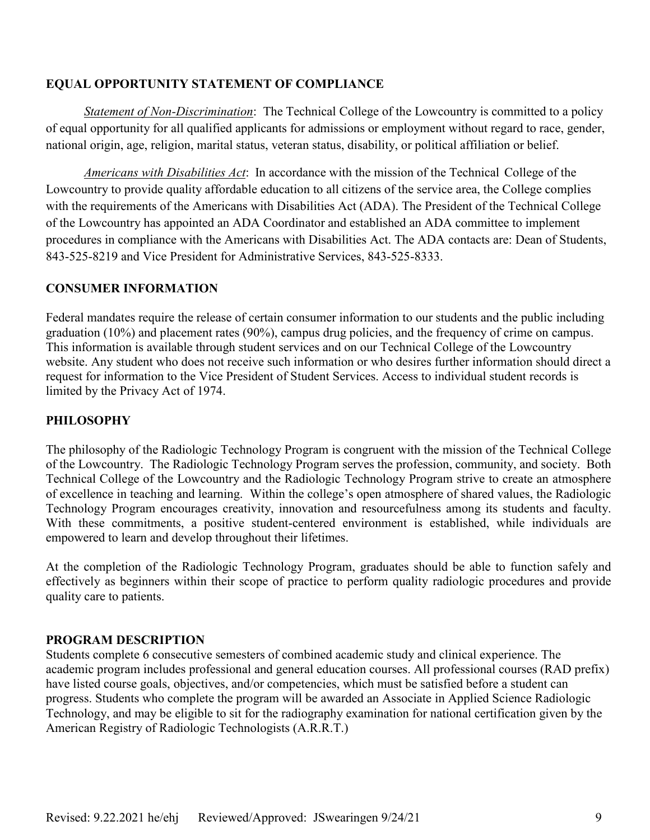#### **EQUAL OPPORTUNITY STATEMENT OF COMPLIANCE**

*Statement of Non-Discrimination*: The Technical College of the Lowcountry is committed to a policy of equal opportunity for all qualified applicants for admissions or employment without regard to race, gender, national origin, age, religion, marital status, veteran status, disability, or political affiliation or belief.

*Americans with Disabilities Act*: In accordance with the mission of the Technical College of the Lowcountry to provide quality affordable education to all citizens of the service area, the College complies with the requirements of the Americans with Disabilities Act (ADA). The President of the Technical College of the Lowcountry has appointed an ADA Coordinator and established an ADA committee to implement procedures in compliance with the Americans with Disabilities Act. The ADA contacts are: Dean of Students, 843-525-8219 and Vice President for Administrative Services, 843-525-8333.

# **CONSUMER INFORMATION**

Federal mandates require the release of certain consumer information to our students and the public including graduation (10%) and placement rates (90%), campus drug policies, and the frequency of crime on campus. This information is available through student services and on our Technical College of the Lowcountry website. Any student who does not receive such information or who desires further information should direct a request for information to the Vice President of Student Services. Access to individual student records is limited by the Privacy Act of 1974.

# **PHILOSOPHY**

The philosophy of the Radiologic Technology Program is congruent with the mission of the Technical College of the Lowcountry. The Radiologic Technology Program serves the profession, community, and society. Both Technical College of the Lowcountry and the Radiologic Technology Program strive to create an atmosphere of excellence in teaching and learning. Within the college's open atmosphere of shared values, the Radiologic Technology Program encourages creativity, innovation and resourcefulness among its students and faculty. With these commitments, a positive student-centered environment is established, while individuals are empowered to learn and develop throughout their lifetimes.

At the completion of the Radiologic Technology Program, graduates should be able to function safely and effectively as beginners within their scope of practice to perform quality radiologic procedures and provide quality care to patients.

# **PROGRAM DESCRIPTION**

Students complete 6 consecutive semesters of combined academic study and clinical experience. The academic program includes professional and general education courses. All professional courses (RAD prefix) have listed course goals, objectives, and/or competencies, which must be satisfied before a student can progress. Students who complete the program will be awarded an Associate in Applied Science Radiologic Technology, and may be eligible to sit for the radiography examination for national certification given by the American Registry of Radiologic Technologists (A.R.R.T.)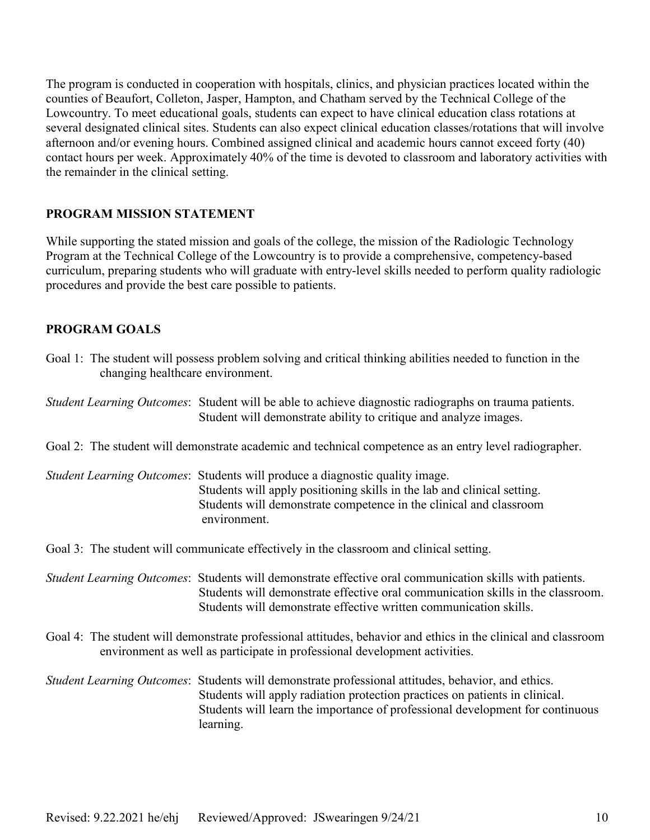The program is conducted in cooperation with hospitals, clinics, and physician practices located within the counties of Beaufort, Colleton, Jasper, Hampton, and Chatham served by the Technical College of the Lowcountry. To meet educational goals, students can expect to have clinical education class rotations at several designated clinical sites. Students can also expect clinical education classes/rotations that will involve afternoon and/or evening hours. Combined assigned clinical and academic hours cannot exceed forty (40) contact hours per week. Approximately 40% of the time is devoted to classroom and laboratory activities with the remainder in the clinical setting.

#### **PROGRAM MISSION STATEMENT**

While supporting the stated mission and goals of the college, the mission of the Radiologic Technology Program at the Technical College of the Lowcountry is to provide a comprehensive, competency-based curriculum, preparing students who will graduate with entry-level skills needed to perform quality radiologic procedures and provide the best care possible to patients.

#### **PROGRAM GOALS**

| changing healthcare environment. | Goal 1: The student will possess problem solving and critical thinking abilities needed to function in the                                                                                                                                                                      |
|----------------------------------|---------------------------------------------------------------------------------------------------------------------------------------------------------------------------------------------------------------------------------------------------------------------------------|
|                                  | Student Learning Outcomes: Student will be able to achieve diagnostic radiographs on trauma patients.<br>Student will demonstrate ability to critique and analyze images.                                                                                                       |
|                                  | Goal 2: The student will demonstrate academic and technical competence as an entry level radiographer.                                                                                                                                                                          |
|                                  | Student Learning Outcomes: Students will produce a diagnostic quality image.<br>Students will apply positioning skills in the lab and clinical setting.<br>Students will demonstrate competence in the clinical and classroom<br>environment.                                   |
|                                  | Goal 3: The student will communicate effectively in the classroom and clinical setting.                                                                                                                                                                                         |
|                                  | Student Learning Outcomes: Students will demonstrate effective oral communication skills with patients.<br>Students will demonstrate effective oral communication skills in the classroom.<br>Students will demonstrate effective written communication skills.                 |
|                                  | Goal 4: The student will demonstrate professional attitudes, behavior and ethics in the clinical and classroom<br>environment as well as participate in professional development activities.                                                                                    |
|                                  | Student Learning Outcomes: Students will demonstrate professional attitudes, behavior, and ethics.<br>Students will apply radiation protection practices on patients in clinical.<br>Students will learn the importance of professional development for continuous<br>learning. |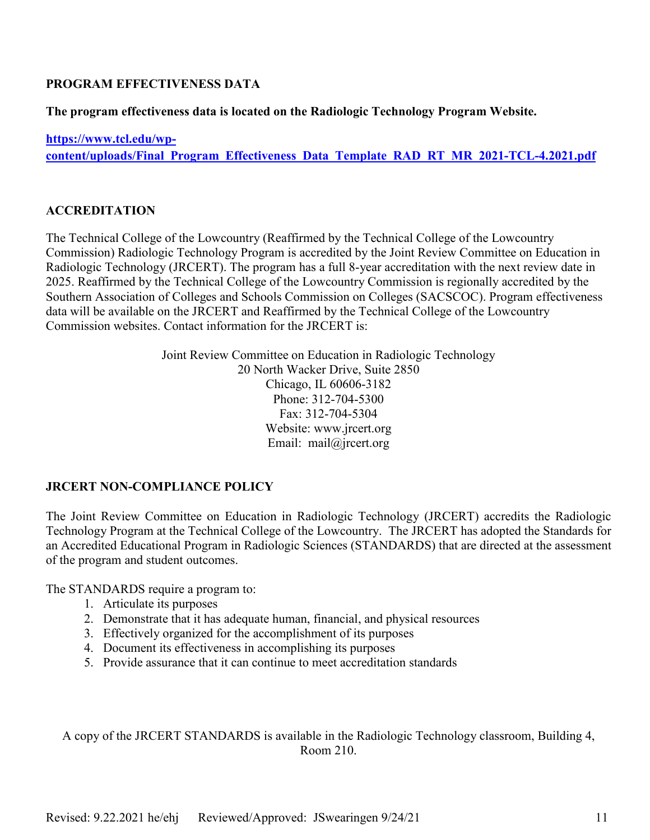# **PROGRAM EFFECTIVENESS DATA**

**The program effectiveness data is located on the Radiologic Technology Program Website.** 

**[https://www.tcl.edu/wp](https://www.tcl.edu/wp-content/uploads/Final_Program_Effectiveness_Data_Template_RAD_RT_MR_2021-TCL-4.2021.pdf)[content/uploads/Final\\_Program\\_Effectiveness\\_Data\\_Template\\_RAD\\_RT\\_MR\\_2021-TCL-4.2021.pdf](https://www.tcl.edu/wp-content/uploads/Final_Program_Effectiveness_Data_Template_RAD_RT_MR_2021-TCL-4.2021.pdf)**

# **ACCREDITATION**

The Technical College of the Lowcountry (Reaffirmed by the Technical College of the Lowcountry Commission) Radiologic Technology Program is accredited by the Joint Review Committee on Education in Radiologic Technology (JRCERT). The program has a full 8-year accreditation with the next review date in 2025. Reaffirmed by the Technical College of the Lowcountry Commission is regionally accredited by the Southern Association of Colleges and Schools Commission on Colleges (SACSCOC). Program effectiveness data will be available on the JRCERT and Reaffirmed by the Technical College of the Lowcountry Commission websites. Contact information for the JRCERT is:

> Joint Review Committee on Education in Radiologic Technology 20 North Wacker Drive, Suite 2850 Chicago, IL 60606-3182 Phone: 312-704-5300 Fax: 312-704-5304 Website: www.jrcert.org Email: mail@jrcert.org

# **JRCERT NON-COMPLIANCE POLICY**

The Joint Review Committee on Education in Radiologic Technology (JRCERT) accredits the Radiologic Technology Program at the Technical College of the Lowcountry. The JRCERT has adopted the Standards for an Accredited Educational Program in Radiologic Sciences (STANDARDS) that are directed at the assessment of the program and student outcomes.

The STANDARDS require a program to:

- 1. Articulate its purposes
- 2. Demonstrate that it has adequate human, financial, and physical resources
- 3. Effectively organized for the accomplishment of its purposes
- 4. Document its effectiveness in accomplishing its purposes
- 5. Provide assurance that it can continue to meet accreditation standards

A copy of the JRCERT STANDARDS is available in the Radiologic Technology classroom, Building 4, Room 210.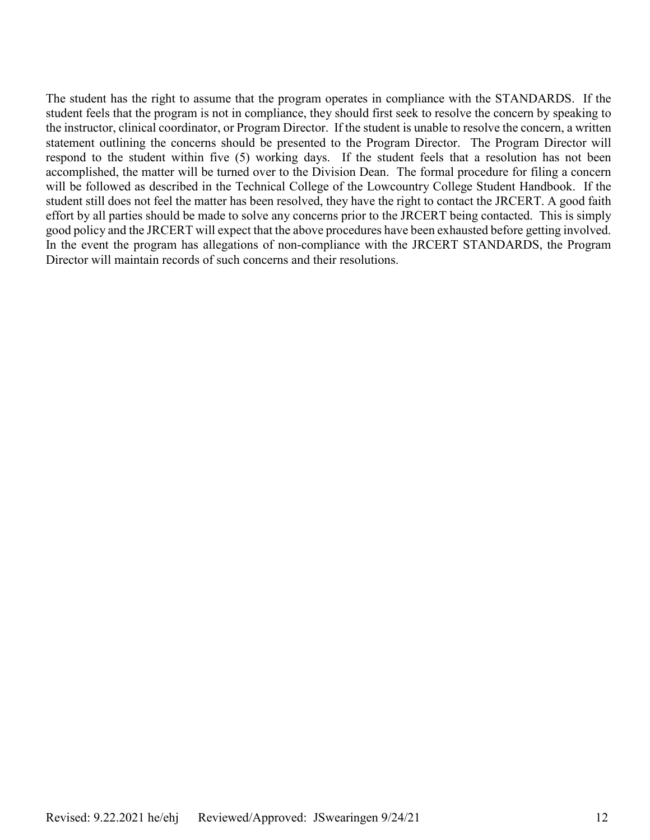The student has the right to assume that the program operates in compliance with the STANDARDS. If the student feels that the program is not in compliance, they should first seek to resolve the concern by speaking to the instructor, clinical coordinator, or Program Director. If the student is unable to resolve the concern, a written statement outlining the concerns should be presented to the Program Director. The Program Director will respond to the student within five (5) working days. If the student feels that a resolution has not been accomplished, the matter will be turned over to the Division Dean. The formal procedure for filing a concern will be followed as described in the Technical College of the Lowcountry College Student Handbook. If the student still does not feel the matter has been resolved, they have the right to contact the JRCERT. A good faith effort by all parties should be made to solve any concerns prior to the JRCERT being contacted. This is simply good policy and the JRCERT will expect that the above procedures have been exhausted before getting involved. In the event the program has allegations of non-compliance with the JRCERT STANDARDS, the Program Director will maintain records of such concerns and their resolutions.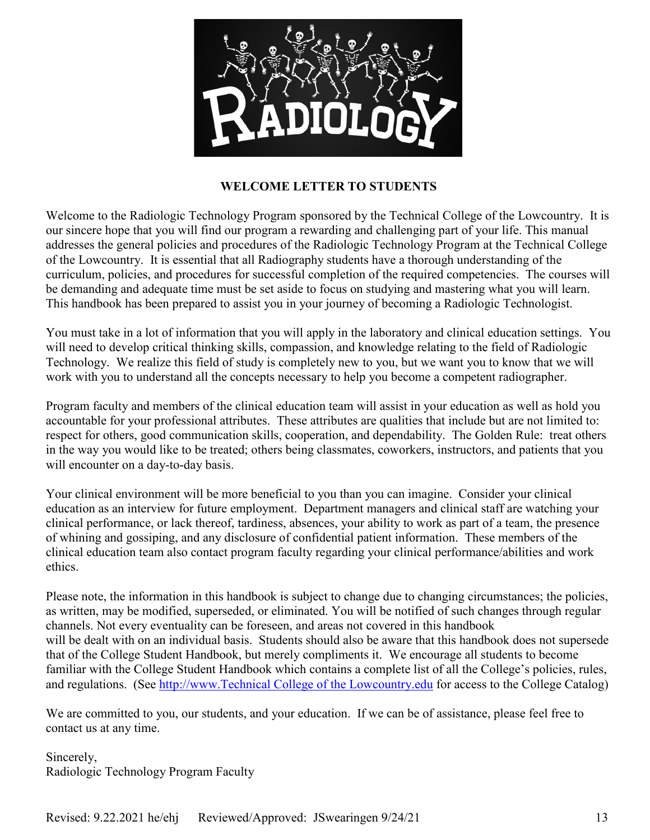

# **WELCOME LETTER TO STUDENTS**

Welcome to the Radiologic Technology Program sponsored by the Technical College of the Lowcountry. It is our sincere hope that you will find our program a rewarding and challenging part of your life. This manual addresses the general policies and procedures of the Radiologic Technology Program at the Technical College of the Lowcountry. It is essential that all Radiography students have a thorough understanding of the curriculum, policies, and procedures for successful completion of the required competencies. The courses will be demanding and adequate time must be set aside to focus on studying and mastering what you will learn. This handbook has been prepared to assist you in your journey of becoming a Radiologic Technologist.

You must take in a lot of information that you will apply in the laboratory and clinical education settings. You will need to develop critical thinking skills, compassion, and knowledge relating to the field of Radiologic Technology. We realize this field of study is completely new to you, but we want you to know that we will work with you to understand all the concepts necessary to help you become a competent radiographer.

Program faculty and members of the clinical education team will assist in your education as well as hold you accountable for your professional attributes. These attributes are qualities that include but are not limited to: respect for others, good communication skills, cooperation, and dependability. The Golden Rule: treat others in the way you would like to be treated; others being classmates, coworkers, instructors, and patients that you will encounter on a day-to-day basis.

Your clinical environment will be more beneficial to you than you can imagine. Consider your clinical education as an interview for future employment. Department managers and clinical staff are watching your clinical performance, or lack thereof, tardiness, absences, your ability to work as part of a team, the presence of whining and gossiping, and any disclosure of confidential patient information. These members of the clinical education team also contact program faculty regarding your clinical performance/abilities and work ethics.

Please note, the information in this handbook is subject to change due to changing circumstances; the policies, as written, may be modified, superseded, or eliminated. You will be notified of such changes through regular channels. Not every eventuality can be foreseen, and areas not covered in this handbook will be dealt with on an individual basis. Students should also be aware that this handbook does not supersede that of the College Student Handbook, but merely compliments it. We encourage all students to become familiar with the College Student Handbook which contains a complete list of all the College's policies, rules, and regulations. (See [http://www.Technical College of the Lowcountry.edu](http://www.tcl.edu/) for access to the College Catalog)

We are committed to you, our students, and your education. If we can be of assistance, please feel free to contact us at any time.

Sincerely, Radiologic Technology Program Faculty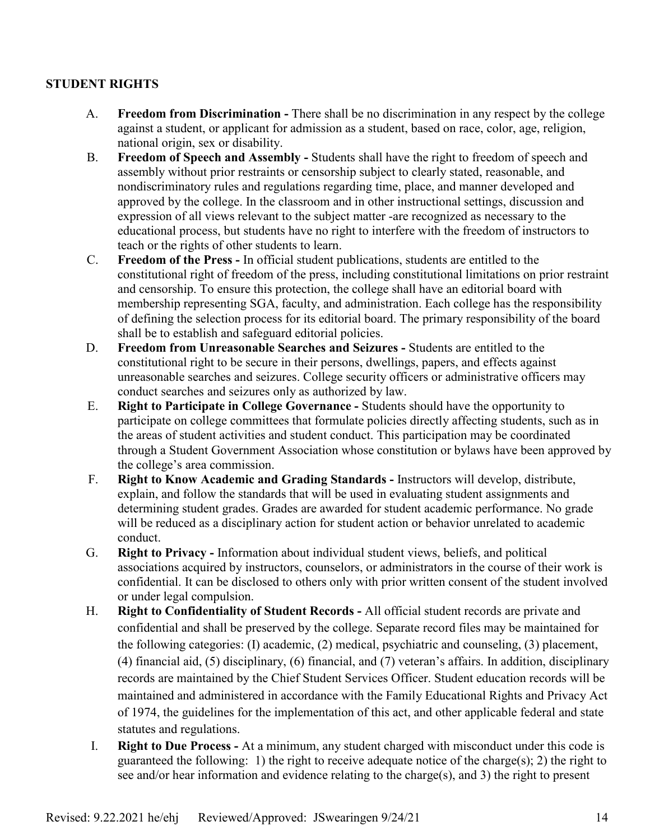# **STUDENT RIGHTS**

- A. **Freedom from Discrimination -** There shall be no discrimination in any respect by the college against a student, or applicant for admission as a student, based on race, color, age, religion, national origin, sex or disability.
- B. **Freedom of Speech and Assembly -** Students shall have the right to freedom of speech and assembly without prior restraints or censorship subject to clearly stated, reasonable, and nondiscriminatory rules and regulations regarding time, place, and manner developed and approved by the college. In the classroom and in other instructional settings, discussion and expression of all views relevant to the subject matter -are recognized as necessary to the educational process, but students have no right to interfere with the freedom of instructors to teach or the rights of other students to learn.
- C. **Freedom of the Press -** In official student publications, students are entitled to the constitutional right of freedom of the press, including constitutional limitations on prior restraint and censorship. To ensure this protection, the college shall have an editorial board with membership representing SGA, faculty, and administration. Each college has the responsibility of defining the selection process for its editorial board. The primary responsibility of the board shall be to establish and safeguard editorial policies.
- D. **Freedom from Unreasonable Searches and Seizures -** Students are entitled to the constitutional right to be secure in their persons, dwellings, papers, and effects against unreasonable searches and seizures. College security officers or administrative officers may conduct searches and seizures only as authorized by law.
- E. **Right to Participate in College Governance -** Students should have the opportunity to participate on college committees that formulate policies directly affecting students, such as in the areas of student activities and student conduct. This participation may be coordinated through a Student Government Association whose constitution or bylaws have been approved by the college's area commission.
- F. **Right to Know Academic and Grading Standards -** Instructors will develop, distribute, explain, and follow the standards that will be used in evaluating student assignments and determining student grades. Grades are awarded for student academic performance. No grade will be reduced as a disciplinary action for student action or behavior unrelated to academic conduct.
- G. **Right to Privacy -** Information about individual student views, beliefs, and political associations acquired by instructors, counselors, or administrators in the course of their work is confidential. It can be disclosed to others only with prior written consent of the student involved or under legal compulsion.
- H. **Right to Confidentiality of Student Records -** All official student records are private and confidential and shall be preserved by the college. Separate record files may be maintained for the following categories: (I) academic, (2) medical, psychiatric and counseling, (3) placement, (4) financial aid, (5) disciplinary, (6) financial, and (7) veteran's affairs. In addition, disciplinary records are maintained by the Chief Student Services Officer. Student education records will be maintained and administered in accordance with the Family Educational Rights and Privacy Act of 1974, the guidelines for the implementation of this act, and other applicable federal and state statutes and regulations.
- I. **Right to Due Process -** At a minimum, any student charged with misconduct under this code is guaranteed the following: 1) the right to receive adequate notice of the charge(s); 2) the right to see and/or hear information and evidence relating to the charge(s), and 3) the right to present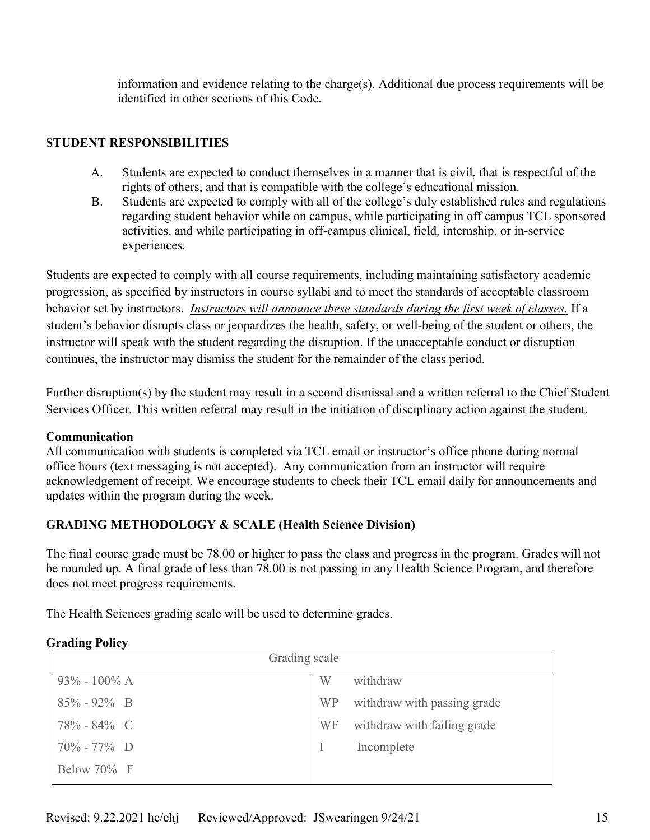information and evidence relating to the charge(s). Additional due process requirements will be identified in other sections of this Code.

# **STUDENT RESPONSIBILITIES**

- A. Students are expected to conduct themselves in a manner that is civil, that is respectful of the rights of others, and that is compatible with the college's educational mission.
- B. Students are expected to comply with all of the college's duly established rules and regulations regarding student behavior while on campus, while participating in off campus TCL sponsored activities, and while participating in off-campus clinical, field, internship, or in-service experiences.

Students are expected to comply with all course requirements, including maintaining satisfactory academic progression, as specified by instructors in course syllabi and to meet the standards of acceptable classroom behavior set by instructors. *Instructors will announce these standards during the first week of classes.* If a student's behavior disrupts class or jeopardizes the health, safety, or well-being of the student or others, the instructor will speak with the student regarding the disruption. If the unacceptable conduct or disruption continues, the instructor may dismiss the student for the remainder of the class period.

Further disruption(s) by the student may result in a second dismissal and a written referral to the Chief Student Services Officer. This written referral may result in the initiation of disciplinary action against the student.

# **Communication**

All communication with students is completed via TCL email or instructor's office phone during normal office hours (text messaging is not accepted). Any communication from an instructor will require acknowledgement of receipt. We encourage students to check their TCL email daily for announcements and updates within the program during the week.

# **GRADING METHODOLOGY & SCALE (Health Science Division)**

The final course grade must be 78.00 or higher to pass the class and progress in the program. Grades will not be rounded up. A final grade of less than 78.00 is not passing in any Health Science Program, and therefore does not meet progress requirements.

The Health Sciences grading scale will be used to determine grades.

# **Grading Policy**

| Grading scale    |           |                             |  |  |
|------------------|-----------|-----------------------------|--|--|
| $93\% - 100\%$ A | W         | withdraw                    |  |  |
| $85\% - 92\%$ B  | <b>WP</b> | withdraw with passing grade |  |  |
| 78% - 84% C      | <b>WF</b> | withdraw with failing grade |  |  |
| $70\% - 77\%$ D  |           | Incomplete                  |  |  |
| Below 70% F      |           |                             |  |  |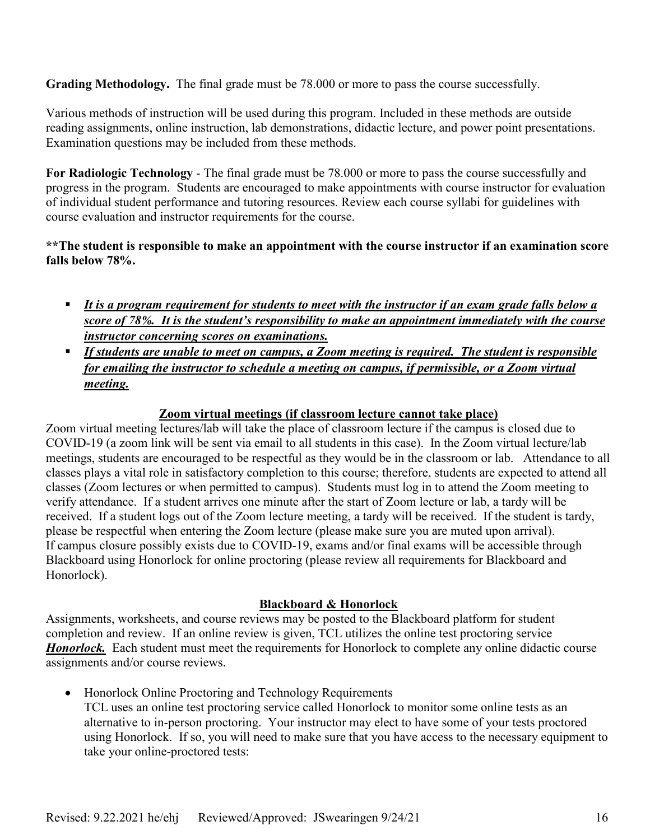**Grading Methodology.** The final grade must be 78.000 or more to pass the course successfully.

Various methods of instruction will be used during this program. Included in these methods are outside reading assignments, online instruction, lab demonstrations, didactic lecture, and power point presentations. Examination questions may be included from these methods.

**For Radiologic Technology** - The final grade must be 78.000 or more to pass the course successfully and progress in the program. Students are encouraged to make appointments with course instructor for evaluation of individual student performance and tutoring resources. Review each course syllabi for guidelines with course evaluation and instructor requirements for the course.

**\*\*The student is responsible to make an appointment with the course instructor if an examination score falls below 78%.** 

- *It is a program requirement for students to meet with the instructor if an exam grade falls below a score of 78%. It is the student's responsibility to make an appointment immediately with the course instructor concerning scores on examinations.*
- *If students are unable to meet on campus, a Zoom meeting is required. The student is responsible for emailing the instructor to schedule a meeting on campus, if permissible, or a Zoom virtual meeting.*

# **Zoom virtual meetings (if classroom lecture cannot take place)**

Zoom virtual meeting lectures/lab will take the place of classroom lecture if the campus is closed due to COVID-19 (a zoom link will be sent via email to all students in this case). In the Zoom virtual lecture/lab meetings, students are encouraged to be respectful as they would be in the classroom or lab. Attendance to all classes plays a vital role in satisfactory completion to this course; therefore, students are expected to attend all classes (Zoom lectures or when permitted to campus). Students must log in to attend the Zoom meeting to verify attendance. If a student arrives one minute after the start of Zoom lecture or lab, a tardy will be received. If a student logs out of the Zoom lecture meeting, a tardy will be received. If the student is tardy, please be respectful when entering the Zoom lecture (please make sure you are muted upon arrival). If campus closure possibly exists due to COVID-19, exams and/or final exams will be accessible through Blackboard using Honorlock for online proctoring (please review all requirements for Blackboard and Honorlock).

# **Blackboard & Honorlock**

Assignments, worksheets, and course reviews may be posted to the Blackboard platform for student completion and review. If an online review is given, TCL utilizes the online test proctoring service *Honorlock.* Each student must meet the requirements for Honorlock to complete any online didactic course assignments and/or course reviews.

• Honorlock Online Proctoring and Technology Requirements

TCL uses an online test proctoring service called Honorlock to monitor some online tests as an alternative to in-person proctoring. Your instructor may elect to have some of your tests proctored using Honorlock. If so, you will need to make sure that you have access to the necessary equipment to take your online-proctored tests: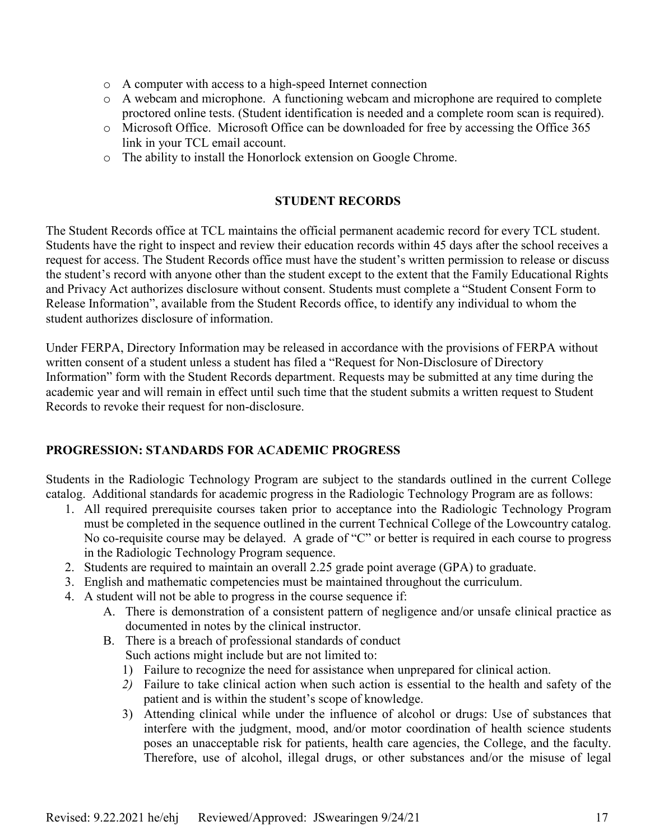- o A computer with access to a high-speed Internet connection
- o A webcam and microphone. A functioning webcam and microphone are required to complete proctored online tests. (Student identification is needed and a complete room scan is required).
- o Microsoft Office. Microsoft Office can be downloaded for free by accessing the Office 365 link in your TCL email account.
- o The ability to install the Honorlock extension on Google Chrome.

# **STUDENT RECORDS**

The Student Records office at TCL maintains the official permanent academic record for every TCL student. Students have the right to inspect and review their education records within 45 days after the school receives a request for access. The Student Records office must have the student's written permission to release or discuss the student's record with anyone other than the student except to the extent that the Family Educational Rights and Privacy Act authorizes disclosure without consent. Students must complete a "Student Consent Form to Release Information", available from the Student Records office, to identify any individual to whom the student authorizes disclosure of information.

Under FERPA, Directory Information may be released in accordance with the provisions of FERPA without written consent of a student unless a student has filed a "Request for Non-Disclosure of Directory Information" form with the Student Records department. Requests may be submitted at any time during the academic year and will remain in effect until such time that the student submits a written request to Student Records to revoke their request for non-disclosure.

# **PROGRESSION: STANDARDS FOR ACADEMIC PROGRESS**

Students in the Radiologic Technology Program are subject to the standards outlined in the current College catalog. Additional standards for academic progress in the Radiologic Technology Program are as follows:

- 1. All required prerequisite courses taken prior to acceptance into the Radiologic Technology Program must be completed in the sequence outlined in the current Technical College of the Lowcountry catalog. No co-requisite course may be delayed. A grade of "C" or better is required in each course to progress in the Radiologic Technology Program sequence.
- 2. Students are required to maintain an overall 2.25 grade point average (GPA) to graduate.
- 3. English and mathematic competencies must be maintained throughout the curriculum.
- 4. A student will not be able to progress in the course sequence if:
	- A. There is demonstration of a consistent pattern of negligence and/or unsafe clinical practice as documented in notes by the clinical instructor.
	- B. There is a breach of professional standards of conduct Such actions might include but are not limited to:
		- 1) Failure to recognize the need for assistance when unprepared for clinical action.
		- *2)* Failure to take clinical action when such action is essential to the health and safety of the patient and is within the student's scope of knowledge.
		- 3) Attending clinical while under the influence of alcohol or drugs: Use of substances that interfere with the judgment, mood, and/or motor coordination of health science students poses an unacceptable risk for patients, health care agencies, the College, and the faculty. Therefore, use of alcohol, illegal drugs, or other substances and/or the misuse of legal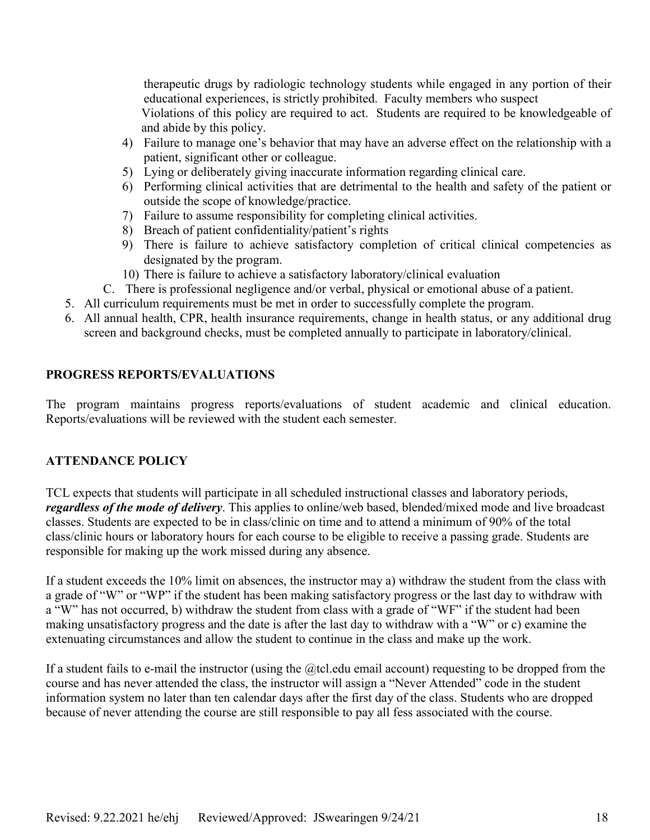therapeutic drugs by radiologic technology students while engaged in any portion of their educational experiences, is strictly prohibited. Faculty members who suspect Violations of this policy are required to act. Students are required to be knowledgeable of and abide by this policy.

- 4) Failure to manage one's behavior that may have an adverse effect on the relationship with a patient, significant other or colleague.
- 5) Lying or deliberately giving inaccurate information regarding clinical care.
- 6) Performing clinical activities that are detrimental to the health and safety of the patient or outside the scope of knowledge/practice.
- 7) Failure to assume responsibility for completing clinical activities.
- 8) Breach of patient confidentiality/patient's rights
- 9) There is failure to achieve satisfactory completion of critical clinical competencies as designated by the program.
- 10) There is failure to achieve a satisfactory laboratory/clinical evaluation
- C. There is professional negligence and/or verbal, physical or emotional abuse of a patient.
- 5. All curriculum requirements must be met in order to successfully complete the program.
- 6. All annual health, CPR, health insurance requirements, change in health status, or any additional drug screen and background checks, must be completed annually to participate in laboratory/clinical.

# **PROGRESS REPORTS/EVALUATIONS**

The program maintains progress reports/evaluations of student academic and clinical education. Reports/evaluations will be reviewed with the student each semester.

# **ATTENDANCE POLICY**

TCL expects that students will participate in all scheduled instructional classes and laboratory periods, *regardless of the mode of delivery*. This applies to online/web based, blended/mixed mode and live broadcast classes. Students are expected to be in class/clinic on time and to attend a minimum of 90% of the total class/clinic hours or laboratory hours for each course to be eligible to receive a passing grade. Students are responsible for making up the work missed during any absence.

If a student exceeds the 10% limit on absences, the instructor may a) withdraw the student from the class with a grade of "W" or "WP" if the student has been making satisfactory progress or the last day to withdraw with a "W" has not occurred, b) withdraw the student from class with a grade of "WF" if the student had been making unsatisfactory progress and the date is after the last day to withdraw with a "W" or c) examine the extenuating circumstances and allow the student to continue in the class and make up the work.

If a student fails to e-mail the instructor (using the  $@$ tcl.edu email account) requesting to be dropped from the course and has never attended the class, the instructor will assign a "Never Attended" code in the student information system no later than ten calendar days after the first day of the class. Students who are dropped because of never attending the course are still responsible to pay all fess associated with the course.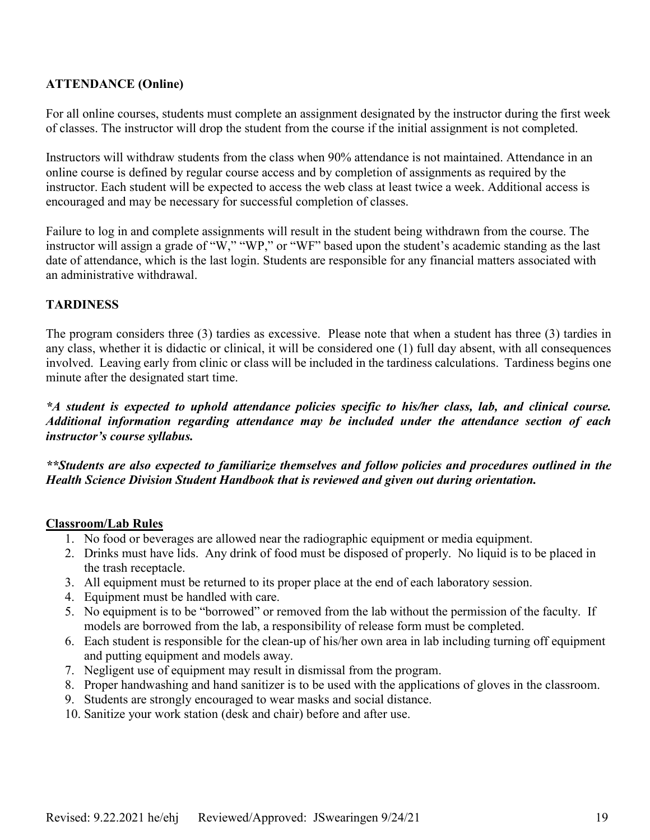# **ATTENDANCE (Online)**

For all online courses, students must complete an assignment designated by the instructor during the first week of classes. The instructor will drop the student from the course if the initial assignment is not completed.

Instructors will withdraw students from the class when 90% attendance is not maintained. Attendance in an online course is defined by regular course access and by completion of assignments as required by the instructor. Each student will be expected to access the web class at least twice a week. Additional access is encouraged and may be necessary for successful completion of classes.

Failure to log in and complete assignments will result in the student being withdrawn from the course. The instructor will assign a grade of "W," "WP," or "WF" based upon the student's academic standing as the last date of attendance, which is the last login. Students are responsible for any financial matters associated with an administrative withdrawal.

# **TARDINESS**

The program considers three (3) tardies as excessive. Please note that when a student has three (3) tardies in any class, whether it is didactic or clinical, it will be considered one (1) full day absent, with all consequences involved. Leaving early from clinic or class will be included in the tardiness calculations. Tardiness begins one minute after the designated start time.

*\*A student is expected to uphold attendance policies specific to his/her class, lab, and clinical course. Additional information regarding attendance may be included under the attendance section of each instructor's course syllabus.* 

*\*\*Students are also expected to familiarize themselves and follow policies and procedures outlined in the Health Science Division Student Handbook that is reviewed and given out during orientation.* 

# **Classroom/Lab Rules**

- 1. No food or beverages are allowed near the radiographic equipment or media equipment.
- 2. Drinks must have lids. Any drink of food must be disposed of properly. No liquid is to be placed in the trash receptacle.
- 3. All equipment must be returned to its proper place at the end of each laboratory session.
- 4. Equipment must be handled with care.
- 5. No equipment is to be "borrowed" or removed from the lab without the permission of the faculty. If models are borrowed from the lab, a responsibility of release form must be completed.
- 6. Each student is responsible for the clean-up of his/her own area in lab including turning off equipment and putting equipment and models away.
- 7. Negligent use of equipment may result in dismissal from the program.
- 8. Proper handwashing and hand sanitizer is to be used with the applications of gloves in the classroom.
- 9. Students are strongly encouraged to wear masks and social distance.
- 10. Sanitize your work station (desk and chair) before and after use.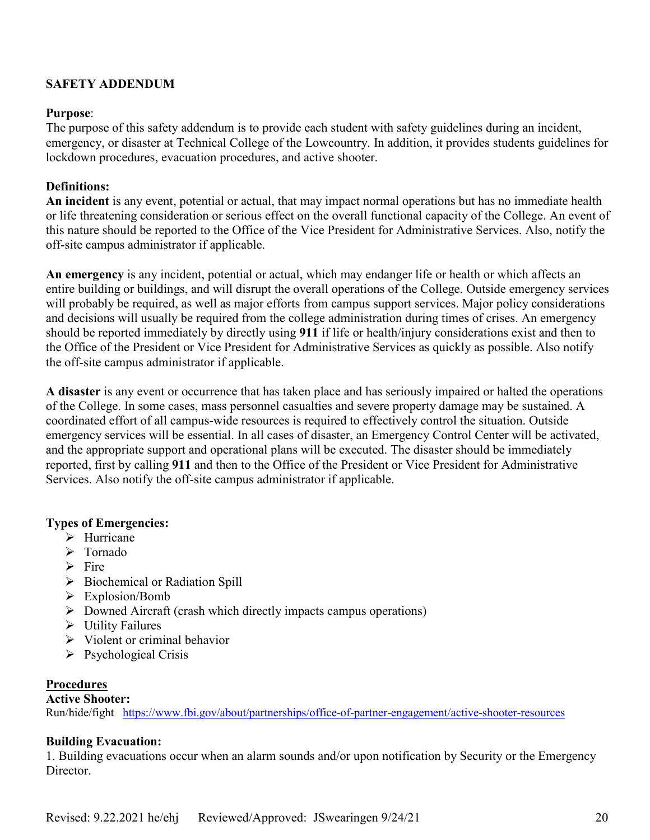# **SAFETY ADDENDUM**

#### **Purpose**:

The purpose of this safety addendum is to provide each student with safety guidelines during an incident, emergency, or disaster at Technical College of the Lowcountry. In addition, it provides students guidelines for lockdown procedures, evacuation procedures, and active shooter.

#### **Definitions:**

**An incident** is any event, potential or actual, that may impact normal operations but has no immediate health or life threatening consideration or serious effect on the overall functional capacity of the College. An event of this nature should be reported to the Office of the Vice President for Administrative Services. Also, notify the off-site campus administrator if applicable.

**An emergency** is any incident, potential or actual, which may endanger life or health or which affects an entire building or buildings, and will disrupt the overall operations of the College. Outside emergency services will probably be required, as well as major efforts from campus support services. Major policy considerations and decisions will usually be required from the college administration during times of crises. An emergency should be reported immediately by directly using **911** if life or health/injury considerations exist and then to the Office of the President or Vice President for Administrative Services as quickly as possible. Also notify the off-site campus administrator if applicable.

**A disaster** is any event or occurrence that has taken place and has seriously impaired or halted the operations of the College. In some cases, mass personnel casualties and severe property damage may be sustained. A coordinated effort of all campus-wide resources is required to effectively control the situation. Outside emergency services will be essential. In all cases of disaster, an Emergency Control Center will be activated, and the appropriate support and operational plans will be executed. The disaster should be immediately reported, first by calling **911** and then to the Office of the President or Vice President for Administrative Services. Also notify the off-site campus administrator if applicable.

#### **Types of Emergencies:**

- $\triangleright$  Hurricane
- > Tornado
- $\triangleright$  Fire
- $\triangleright$  Biochemical or Radiation Spill
- $\triangleright$  Explosion/Bomb
- $\triangleright$  Downed Aircraft (crash which directly impacts campus operations)
- $\triangleright$  Utility Failures
- $\triangleright$  Violent or criminal behavior
- $\triangleright$  Psychological Crisis

# **Procedures**

#### **Active Shooter:**

Run/hide/fight <https://www.fbi.gov/about/partnerships/office-of-partner-engagement/active-shooter-resources>

# **Building Evacuation:**

1. Building evacuations occur when an alarm sounds and/or upon notification by Security or the Emergency Director.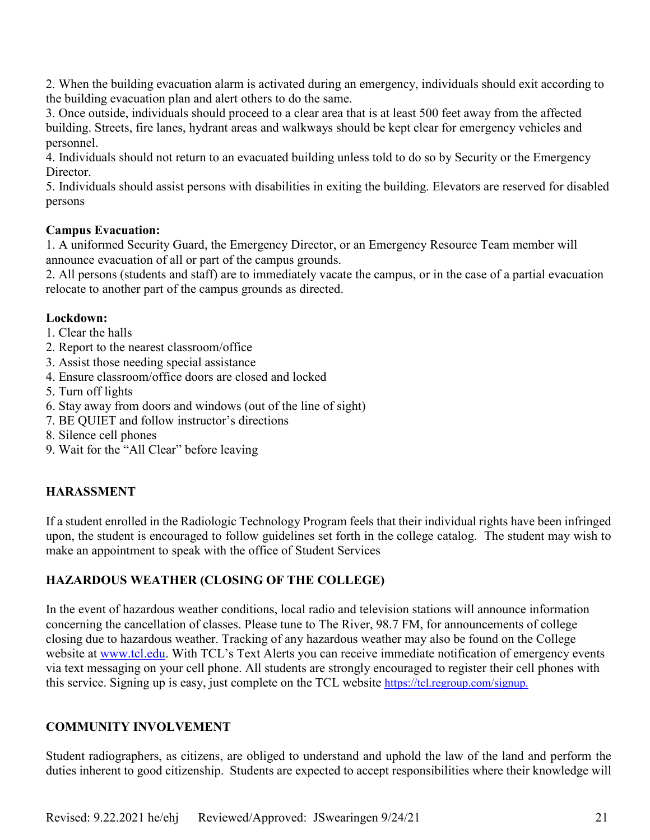2. When the building evacuation alarm is activated during an emergency, individuals should exit according to the building evacuation plan and alert others to do the same.

3. Once outside, individuals should proceed to a clear area that is at least 500 feet away from the affected building. Streets, fire lanes, hydrant areas and walkways should be kept clear for emergency vehicles and personnel.

4. Individuals should not return to an evacuated building unless told to do so by Security or the Emergency Director.

5. Individuals should assist persons with disabilities in exiting the building. Elevators are reserved for disabled persons

# **Campus Evacuation:**

1. A uniformed Security Guard, the Emergency Director, or an Emergency Resource Team member will announce evacuation of all or part of the campus grounds.

2. All persons (students and staff) are to immediately vacate the campus, or in the case of a partial evacuation relocate to another part of the campus grounds as directed.

#### **Lockdown:**

- 1. Clear the halls
- 2. Report to the nearest classroom/office
- 3. Assist those needing special assistance
- 4. Ensure classroom/office doors are closed and locked
- 5. Turn off lights
- 6. Stay away from doors and windows (out of the line of sight)
- 7. BE QUIET and follow instructor's directions
- 8. Silence cell phones
- 9. Wait for the "All Clear" before leaving

# **HARASSMENT**

If a student enrolled in the Radiologic Technology Program feels that their individual rights have been infringed upon, the student is encouraged to follow guidelines set forth in the college catalog. The student may wish to make an appointment to speak with the office of Student Services

# **HAZARDOUS WEATHER (CLOSING OF THE COLLEGE)**

In the event of hazardous weather conditions, local radio and television stations will announce information concerning the cancellation of classes. Please tune to The River, 98.7 FM, for announcements of college closing due to hazardous weather. Tracking of any hazardous weather may also be found on the College website at [www.tcl.edu.](http://www.tcl.edu/) With TCL's Text Alerts you can receive immediate notification of emergency events via text messaging on your cell phone. All students are strongly encouraged to register their cell phones with this service. Signing up is easy, just complete on the TCL website [https://tcl.regroup.com/signup.](https://tcl.regroup.com/signup)

# **COMMUNITY INVOLVEMENT**

Student radiographers, as citizens, are obliged to understand and uphold the law of the land and perform the duties inherent to good citizenship. Students are expected to accept responsibilities where their knowledge will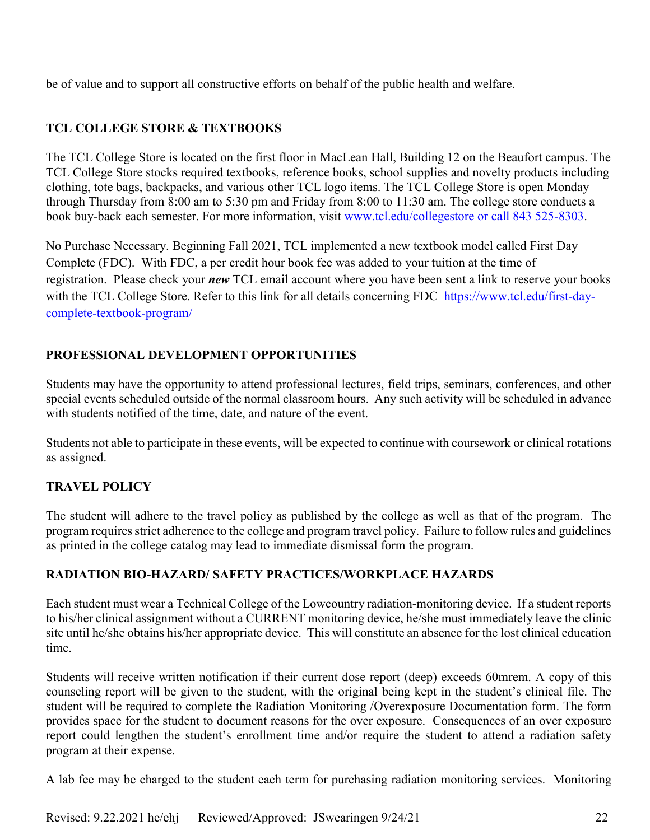be of value and to support all constructive efforts on behalf of the public health and welfare.

# **TCL COLLEGE STORE & TEXTBOOKS**

The TCL College Store is located on the first floor in MacLean Hall, Building 12 on the Beaufort campus. The TCL College Store stocks required textbooks, reference books, school supplies and novelty products including clothing, tote bags, backpacks, and various other TCL logo items. The TCL College Store is open Monday through Thursday from 8:00 am to 5:30 pm and Friday from 8:00 to 11:30 am. The college store conducts a book buy-back each semester. For more information, visit [www.tcl.edu/collegestore or call 843 525-8303.](http://www.tcl.edu/collegestore%20or%20call%20843%20525-8303)

No Purchase Necessary. Beginning Fall 2021, TCL implemented a new textbook model called First Day Complete (FDC). With FDC, a per credit hour book fee was added to your tuition at the time of registration. Please check your *new* TCL email account where you have been sent a link to reserve your books with the TCL College Store. Refer to this link for all details concerning FDC [https://www.tcl.edu/first-day](https://www.tcl.edu/first-day-complete-textbook-program/)[complete-textbook-program/](https://www.tcl.edu/first-day-complete-textbook-program/)

# **PROFESSIONAL DEVELOPMENT OPPORTUNITIES**

Students may have the opportunity to attend professional lectures, field trips, seminars, conferences, and other special events scheduled outside of the normal classroom hours. Any such activity will be scheduled in advance with students notified of the time, date, and nature of the event.

Students not able to participate in these events, will be expected to continue with coursework or clinical rotations as assigned.

# **TRAVEL POLICY**

The student will adhere to the travel policy as published by the college as well as that of the program. The program requires strict adherence to the college and program travel policy. Failure to follow rules and guidelines as printed in the college catalog may lead to immediate dismissal form the program.

# **RADIATION BIO-HAZARD/ SAFETY PRACTICES/WORKPLACE HAZARDS**

Each student must wear a Technical College of the Lowcountry radiation-monitoring device. If a student reports to his/her clinical assignment without a CURRENT monitoring device, he/she must immediately leave the clinic site until he/she obtains his/her appropriate device. This will constitute an absence for the lost clinical education time.

Students will receive written notification if their current dose report (deep) exceeds 60mrem. A copy of this counseling report will be given to the student, with the original being kept in the student's clinical file. The student will be required to complete the Radiation Monitoring /Overexposure Documentation form. The form provides space for the student to document reasons for the over exposure. Consequences of an over exposure report could lengthen the student's enrollment time and/or require the student to attend a radiation safety program at their expense.

A lab fee may be charged to the student each term for purchasing radiation monitoring services. Monitoring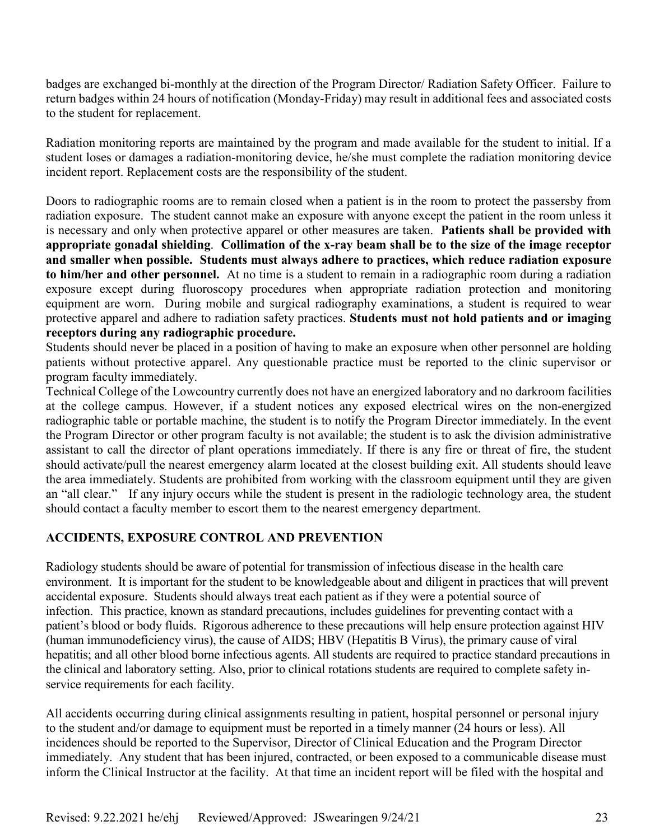badges are exchanged bi-monthly at the direction of the Program Director/ Radiation Safety Officer. Failure to return badges within 24 hours of notification (Monday-Friday) may result in additional fees and associated costs to the student for replacement.

Radiation monitoring reports are maintained by the program and made available for the student to initial. If a student loses or damages a radiation-monitoring device, he/she must complete the radiation monitoring device incident report. Replacement costs are the responsibility of the student.

Doors to radiographic rooms are to remain closed when a patient is in the room to protect the passersby from radiation exposure. The student cannot make an exposure with anyone except the patient in the room unless it is necessary and only when protective apparel or other measures are taken. **Patients shall be provided with appropriate gonadal shielding**. **Collimation of the x-ray beam shall be to the size of the image receptor and smaller when possible. Students must always adhere to practices, which reduce radiation exposure to him/her and other personnel.** At no time is a student to remain in a radiographic room during a radiation exposure except during fluoroscopy procedures when appropriate radiation protection and monitoring equipment are worn. During mobile and surgical radiography examinations, a student is required to wear protective apparel and adhere to radiation safety practices. **Students must not hold patients and or imaging receptors during any radiographic procedure.** 

Students should never be placed in a position of having to make an exposure when other personnel are holding patients without protective apparel. Any questionable practice must be reported to the clinic supervisor or program faculty immediately.

Technical College of the Lowcountry currently does not have an energized laboratory and no darkroom facilities at the college campus. However, if a student notices any exposed electrical wires on the non-energized radiographic table or portable machine, the student is to notify the Program Director immediately. In the event the Program Director or other program faculty is not available; the student is to ask the division administrative assistant to call the director of plant operations immediately. If there is any fire or threat of fire, the student should activate/pull the nearest emergency alarm located at the closest building exit. All students should leave the area immediately. Students are prohibited from working with the classroom equipment until they are given an "all clear." If any injury occurs while the student is present in the radiologic technology area, the student should contact a faculty member to escort them to the nearest emergency department.

# **ACCIDENTS, EXPOSURE CONTROL AND PREVENTION**

Radiology students should be aware of potential for transmission of infectious disease in the health care environment. It is important for the student to be knowledgeable about and diligent in practices that will prevent accidental exposure. Students should always treat each patient as if they were a potential source of infection. This practice, known as standard precautions, includes guidelines for preventing contact with a patient's blood or body fluids. Rigorous adherence to these precautions will help ensure protection against HIV (human immunodeficiency virus), the cause of AIDS; HBV (Hepatitis B Virus), the primary cause of viral hepatitis; and all other blood borne infectious agents. All students are required to practice standard precautions in the clinical and laboratory setting. Also, prior to clinical rotations students are required to complete safety inservice requirements for each facility.

All accidents occurring during clinical assignments resulting in patient, hospital personnel or personal injury to the student and/or damage to equipment must be reported in a timely manner (24 hours or less). All incidences should be reported to the Supervisor, Director of Clinical Education and the Program Director immediately. Any student that has been injured, contracted, or been exposed to a communicable disease must inform the Clinical Instructor at the facility. At that time an incident report will be filed with the hospital and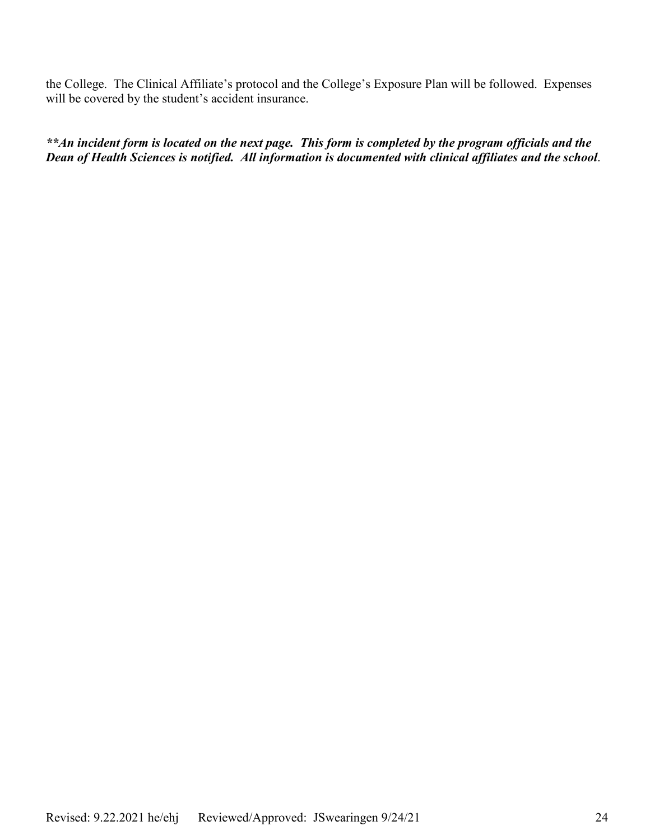the College. The Clinical Affiliate's protocol and the College's Exposure Plan will be followed. Expenses will be covered by the student's accident insurance.

*\*\*An incident form is located on the next page. This form is completed by the program officials and the Dean of Health Sciences is notified. All information is documented with clinical affiliates and the school*.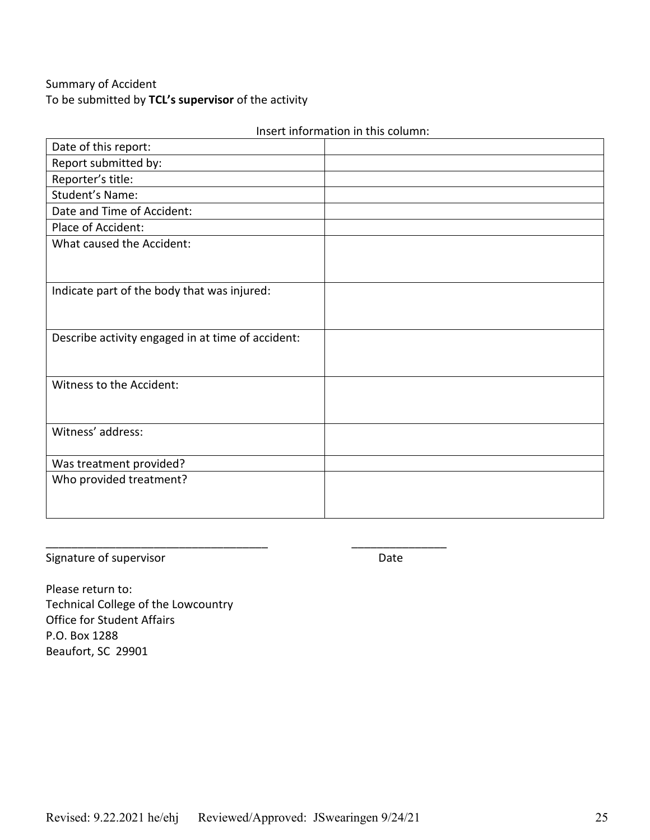# Summary of Accident To be submitted by **TCL's supervisor** of the activity

| Date of this report:                              |  |
|---------------------------------------------------|--|
| Report submitted by:                              |  |
| Reporter's title:                                 |  |
| Student's Name:                                   |  |
| Date and Time of Accident:                        |  |
| Place of Accident:                                |  |
| What caused the Accident:                         |  |
|                                                   |  |
|                                                   |  |
| Indicate part of the body that was injured:       |  |
|                                                   |  |
|                                                   |  |
| Describe activity engaged in at time of accident: |  |
|                                                   |  |
|                                                   |  |
| Witness to the Accident:                          |  |
|                                                   |  |
|                                                   |  |
| Witness' address:                                 |  |
|                                                   |  |
| Was treatment provided?                           |  |
| Who provided treatment?                           |  |
|                                                   |  |
|                                                   |  |

Insert information in this column:

Signature of supervisor and the state of supervisor and the state of the Date

Please return to: Technical College of the Lowcountry Office for Student Affairs P.O. Box 1288 Beaufort, SC 29901

\_\_\_\_\_\_\_\_\_\_\_\_\_\_\_\_\_\_\_\_\_\_\_\_\_\_\_\_\_\_\_\_\_\_\_ \_\_\_\_\_\_\_\_\_\_\_\_\_\_\_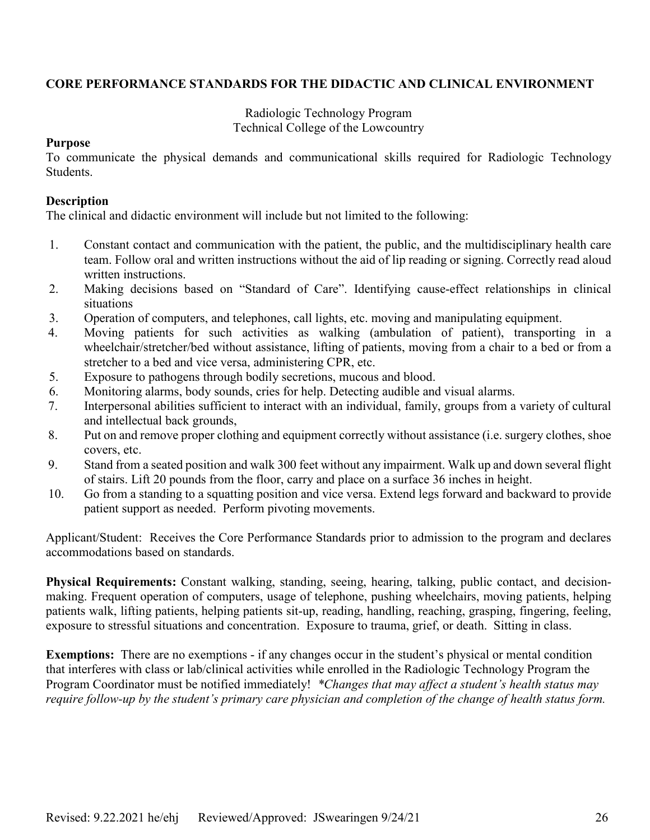# **CORE PERFORMANCE STANDARDS FOR THE DIDACTIC AND CLINICAL ENVIRONMENT**

Radiologic Technology Program Technical College of the Lowcountry

#### **Purpose**

To communicate the physical demands and communicational skills required for Radiologic Technology Students.

#### **Description**

The clinical and didactic environment will include but not limited to the following:

- 1. Constant contact and communication with the patient, the public, and the multidisciplinary health care team. Follow oral and written instructions without the aid of lip reading or signing. Correctly read aloud written instructions.
- 2. Making decisions based on "Standard of Care". Identifying cause-effect relationships in clinical situations
- 3. Operation of computers, and telephones, call lights, etc. moving and manipulating equipment.
- 4. Moving patients for such activities as walking (ambulation of patient), transporting in a wheelchair/stretcher/bed without assistance, lifting of patients, moving from a chair to a bed or from a stretcher to a bed and vice versa, administering CPR, etc.
- 5. Exposure to pathogens through bodily secretions, mucous and blood.
- 6. Monitoring alarms, body sounds, cries for help. Detecting audible and visual alarms.
- 7. Interpersonal abilities sufficient to interact with an individual, family, groups from a variety of cultural and intellectual back grounds,
- 8. Put on and remove proper clothing and equipment correctly without assistance (i.e. surgery clothes, shoe covers, etc.
- 9. Stand from a seated position and walk 300 feet without any impairment. Walk up and down several flight of stairs. Lift 20 pounds from the floor, carry and place on a surface 36 inches in height.
- 10. Go from a standing to a squatting position and vice versa. Extend legs forward and backward to provide patient support as needed. Perform pivoting movements.

Applicant/Student: Receives the Core Performance Standards prior to admission to the program and declares accommodations based on standards.

**Physical Requirements:** Constant walking, standing, seeing, hearing, talking, public contact, and decisionmaking. Frequent operation of computers, usage of telephone, pushing wheelchairs, moving patients, helping patients walk, lifting patients, helping patients sit-up, reading, handling, reaching, grasping, fingering, feeling, exposure to stressful situations and concentration. Exposure to trauma, grief, or death. Sitting in class.

**Exemptions:** There are no exemptions - if any changes occur in the student's physical or mental condition that interferes with class or lab/clinical activities while enrolled in the Radiologic Technology Program the Program Coordinator must be notified immediately! *\*Changes that may affect a student's health status may require follow-up by the student's primary care physician and completion of the change of health status form.*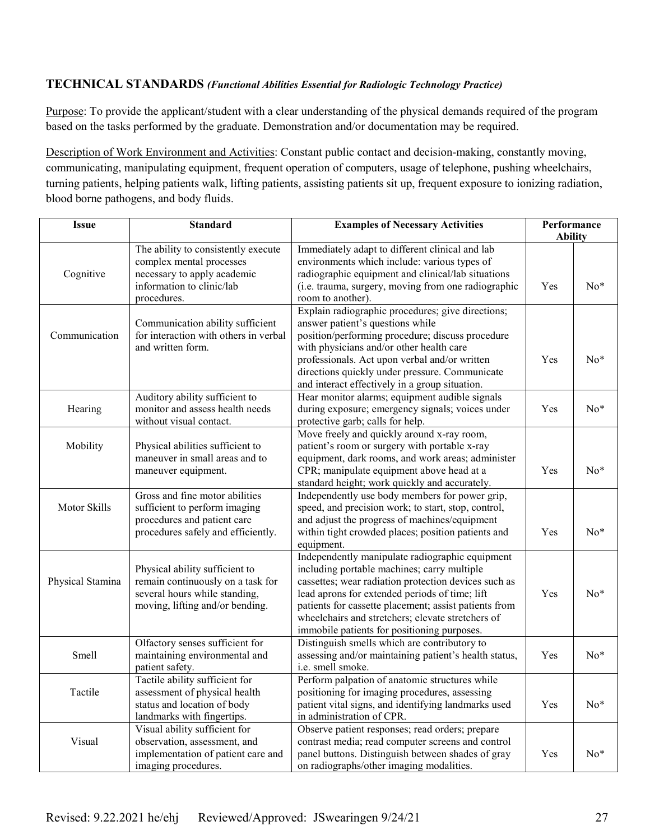#### **TECHNICAL STANDARDS** *(Functional Abilities Essential for Radiologic Technology Practice)*

Purpose: To provide the applicant/student with a clear understanding of the physical demands required of the program based on the tasks performed by the graduate. Demonstration and/or documentation may be required.

Description of Work Environment and Activities: Constant public contact and decision-making, constantly moving, communicating, manipulating equipment, frequent operation of computers, usage of telephone, pushing wheelchairs, turning patients, helping patients walk, lifting patients, assisting patients sit up, frequent exposure to ionizing radiation, blood borne pathogens, and body fluids.

| <b>Issue</b>     | <b>Standard</b>                                                                                                                            | <b>Examples of Necessary Activities</b>                                                                                                                                                                                                                                                                                                                               | Performance<br><b>Ability</b> |       |
|------------------|--------------------------------------------------------------------------------------------------------------------------------------------|-----------------------------------------------------------------------------------------------------------------------------------------------------------------------------------------------------------------------------------------------------------------------------------------------------------------------------------------------------------------------|-------------------------------|-------|
| Cognitive        | The ability to consistently execute<br>complex mental processes<br>necessary to apply academic<br>information to clinic/lab<br>procedures. | Immediately adapt to different clinical and lab<br>environments which include: various types of<br>radiographic equipment and clinical/lab situations<br>(i.e. trauma, surgery, moving from one radiographic<br>room to another).                                                                                                                                     | Yes                           | $No*$ |
| Communication    | Communication ability sufficient<br>for interaction with others in verbal<br>and written form.                                             | Explain radiographic procedures; give directions;<br>answer patient's questions while<br>position/performing procedure; discuss procedure<br>with physicians and/or other health care<br>professionals. Act upon verbal and/or written<br>directions quickly under pressure. Communicate<br>and interact effectively in a group situation.                            | Yes                           | $No*$ |
| Hearing          | Auditory ability sufficient to<br>monitor and assess health needs<br>without visual contact.                                               | Hear monitor alarms; equipment audible signals<br>during exposure; emergency signals; voices under<br>protective garb; calls for help.                                                                                                                                                                                                                                | Yes                           | $No*$ |
| Mobility         | Physical abilities sufficient to<br>maneuver in small areas and to<br>maneuver equipment.                                                  | Move freely and quickly around x-ray room,<br>patient's room or surgery with portable x-ray<br>equipment, dark rooms, and work areas; administer<br>CPR; manipulate equipment above head at a<br>standard height; work quickly and accurately.                                                                                                                        | Yes                           | $No*$ |
| Motor Skills     | Gross and fine motor abilities<br>sufficient to perform imaging<br>procedures and patient care<br>procedures safely and efficiently.       | Independently use body members for power grip,<br>speed, and precision work; to start, stop, control,<br>and adjust the progress of machines/equipment<br>within tight crowded places; position patients and<br>equipment.                                                                                                                                            | Yes                           | No*   |
| Physical Stamina | Physical ability sufficient to<br>remain continuously on a task for<br>several hours while standing,<br>moving, lifting and/or bending.    | Independently manipulate radiographic equipment<br>including portable machines; carry multiple<br>cassettes; wear radiation protection devices such as<br>lead aprons for extended periods of time; lift<br>patients for cassette placement; assist patients from<br>wheelchairs and stretchers; elevate stretchers of<br>immobile patients for positioning purposes. | Yes                           | $No*$ |
| Smell            | Olfactory senses sufficient for<br>maintaining environmental and<br>patient safety.                                                        | Distinguish smells which are contributory to<br>assessing and/or maintaining patient's health status,<br>i.e. smell smoke.                                                                                                                                                                                                                                            | Yes                           | $No*$ |
| Tactile          | Tactile ability sufficient for<br>assessment of physical health<br>status and location of body<br>landmarks with fingertips.               | Perform palpation of anatomic structures while<br>positioning for imaging procedures, assessing<br>patient vital signs, and identifying landmarks used<br>in administration of CPR.                                                                                                                                                                                   | Yes                           | $No*$ |
| Visual           | Visual ability sufficient for<br>observation, assessment, and<br>implementation of patient care and<br>imaging procedures.                 | Observe patient responses; read orders; prepare<br>contrast media; read computer screens and control<br>panel buttons. Distinguish between shades of gray<br>on radiographs/other imaging modalities.                                                                                                                                                                 | Yes                           | $No*$ |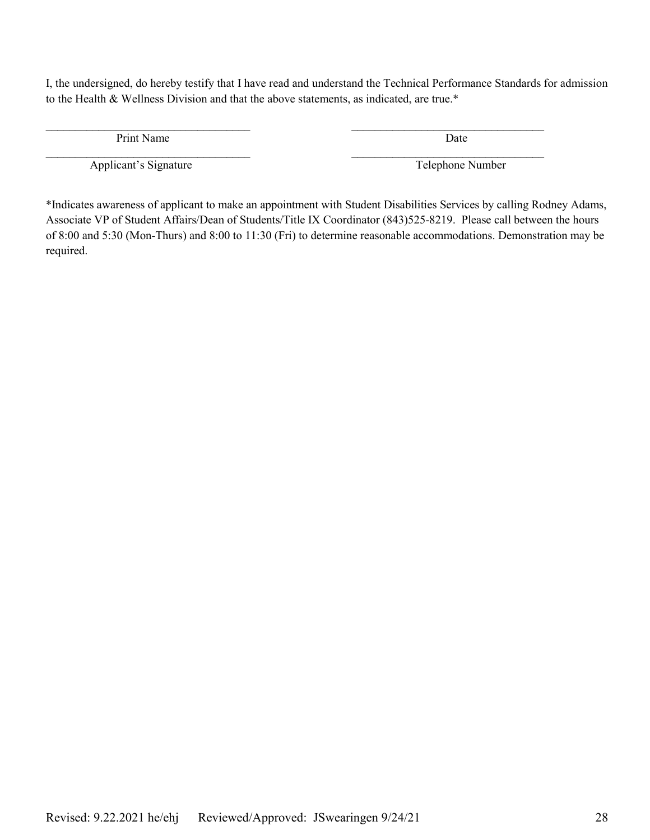I, the undersigned, do hereby testify that I have read and understand the Technical Performance Standards for admission to the Health & Wellness Division and that the above statements, as indicated, are true.\*

 $\mathcal{L}_\text{max}$  , and the contract of the contract of the contract of the contract of the contract of the contract of

Print Name Date

Applicant's Signature Telephone Number

 $\mathcal{L}_\text{max}$  , and the contribution of the contribution of the contribution of the contribution of the contribution of the contribution of the contribution of the contribution of the contribution of the contribution of t

\*Indicates awareness of applicant to make an appointment with Student Disabilities Services by calling Rodney Adams, Associate VP of Student Affairs/Dean of Students/Title IX Coordinator (843)525-8219. Please call between the hours of 8:00 and 5:30 (Mon-Thurs) and 8:00 to 11:30 (Fri) to determine reasonable accommodations. Demonstration may be required.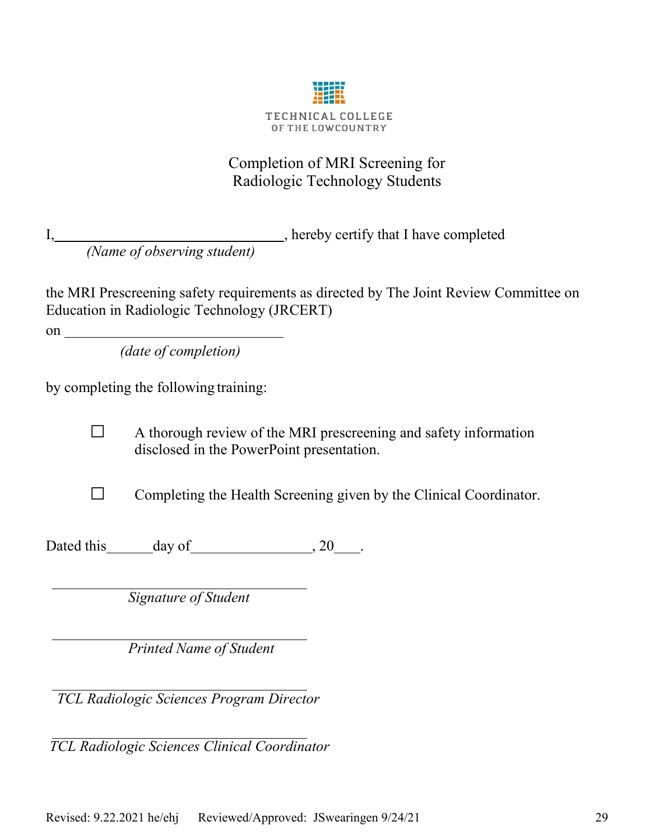

# Completion of MRI Screening for Radiologic Technology Students

I, hereby certify that I have completed *(Name of observing student)*

the MRI Prescreening safety requirements as directed by The Joint Review Committee on Education in Radiologic Technology (JRCERT)

on

*(date of completion)*

by completing the following training:

 $\Box$  A thorough review of the MRI prescreening and safety information disclosed in the PowerPoint presentation.

 $\Box$  Completing the Health Screening given by the Clinical Coordinator.

Dated this day of 30 .

*Signature of Student*

*Printed Name of Student*

 *TCL Radiologic Sciences Program Director*

*TCL Radiologic Sciences Clinical Coordinator*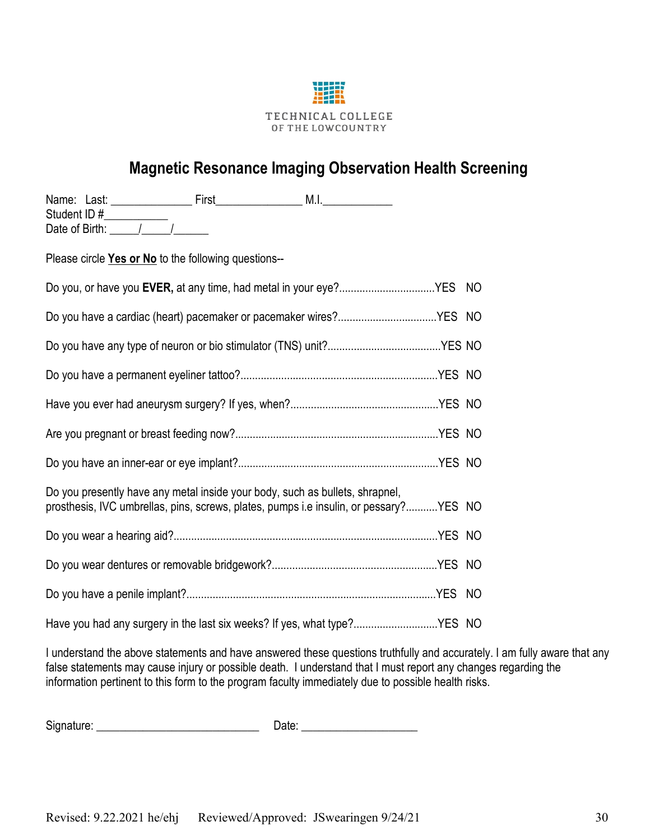

# **Magnetic Resonance Imaging Observation Health Screening**

| Please circle Yes or No to the following questions--                                                                                                                  |                                                                          |  |
|-----------------------------------------------------------------------------------------------------------------------------------------------------------------------|--------------------------------------------------------------------------|--|
| Do you, or have you EVER, at any time, had metal in your eye?YES NO                                                                                                   |                                                                          |  |
| Do you have a cardiac (heart) pacemaker or pacemaker wires?YES NO                                                                                                     |                                                                          |  |
|                                                                                                                                                                       |                                                                          |  |
|                                                                                                                                                                       |                                                                          |  |
|                                                                                                                                                                       |                                                                          |  |
|                                                                                                                                                                       |                                                                          |  |
|                                                                                                                                                                       |                                                                          |  |
| Do you presently have any metal inside your body, such as bullets, shrapnel,<br>prosthesis, IVC umbrellas, pins, screws, plates, pumps i.e insulin, or pessary?YES NO |                                                                          |  |
|                                                                                                                                                                       |                                                                          |  |
|                                                                                                                                                                       |                                                                          |  |
|                                                                                                                                                                       |                                                                          |  |
|                                                                                                                                                                       | Have you had any surgery in the last six weeks? If yes, what type?YES NO |  |

I understand the above statements and have answered these questions truthfully and accurately. I am fully aware that any false statements may cause injury or possible death. I understand that I must report any changes regarding the information pertinent to this form to the program faculty immediately due to possible health risks.

Signature: \_\_\_\_\_\_\_\_\_\_\_\_\_\_\_\_\_\_\_\_\_\_\_\_\_\_\_\_ Date: \_\_\_\_\_\_\_\_\_\_\_\_\_\_\_\_\_\_\_\_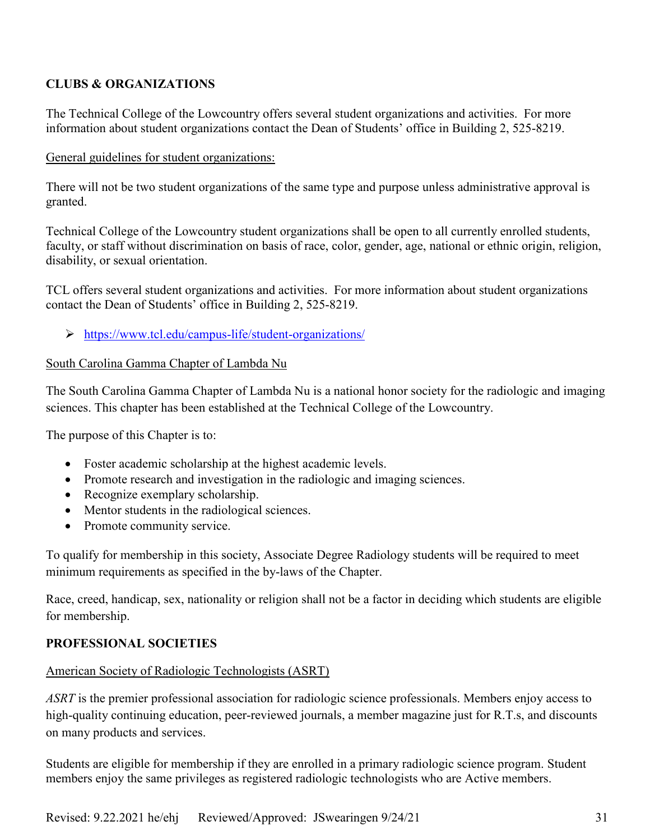# **CLUBS & ORGANIZATIONS**

The Technical College of the Lowcountry offers several student organizations and activities. For more information about student organizations contact the Dean of Students' office in Building 2, 525-8219.

# General guidelines for student organizations:

There will not be two student organizations of the same type and purpose unless administrative approval is granted.

Technical College of the Lowcountry student organizations shall be open to all currently enrolled students, faculty, or staff without discrimination on basis of race, color, gender, age, national or ethnic origin, religion, disability, or sexual orientation.

TCL offers several student organizations and activities. For more information about student organizations contact the Dean of Students' office in Building 2, 525-8219.

<https://www.tcl.edu/campus-life/student-organizations/>

# South Carolina Gamma Chapter of Lambda Nu

The South Carolina Gamma Chapter of Lambda Nu is a national honor society for the radiologic and imaging sciences. This chapter has been established at the Technical College of the Lowcountry.

The purpose of this Chapter is to:

- Foster academic scholarship at the highest academic levels.
- Promote research and investigation in the radiologic and imaging sciences.
- Recognize exemplary scholarship.
- Mentor students in the radiological sciences.
- Promote community service.

To qualify for membership in this society, Associate Degree Radiology students will be required to meet minimum requirements as specified in the by-laws of the Chapter.

Race, creed, handicap, sex, nationality or religion shall not be a factor in deciding which students are eligible for membership.

# **PROFESSIONAL SOCIETIES**

# American Society of Radiologic Technologists (ASRT)

*ASRT* is the premier professional association for radiologic science professionals. Members enjoy access to high-quality continuing education, peer-reviewed journals, a member magazine just for R.T.s, and discounts on many products and services.

Students are eligible for membership if they are enrolled in a primary radiologic science program. Student members enjoy the same privileges as registered radiologic technologists who are [Active members.](https://www.asrt.org/membership/join-asrt/membership-categories/active-membership)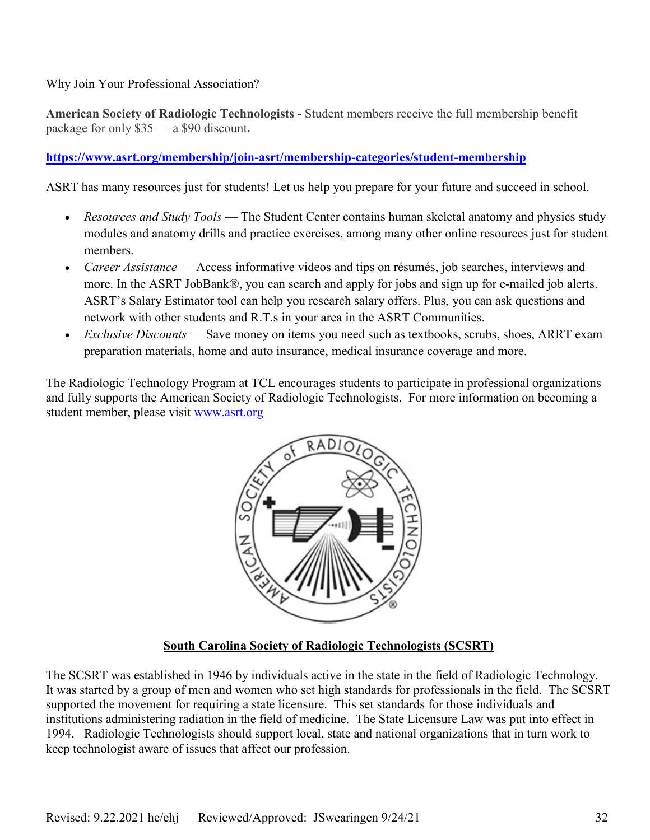Why Join Your Professional Association?

**American Society of Radiologic Technologists -** Student members receive the full membership benefit package for only \$35 — a \$90 discount**.**

# **<https://www.asrt.org/membership/join-asrt/membership-categories/student-membership>**

ASRT has many resources just for students! Let us help you prepare for your future and succeed in school.

- *Resources and Study Tools* The [Student Center](https://www.asrt.org/students/welcome) contains human skeletal anatomy and physics study modules and anatomy drills and practice exercises, among many other online resources just for student members.
- *Career Assistance* Access [informative videos](https://www.asrt.org/membership/why-join-asrt/interviewing-essentials) and tips on résumés, job searches, interviews and more. In the [ASRT JobBank®,](http://www.healthecareers.com/asrt) you can search and apply for jobs and sign up for e-mailed job alerts. ASRT's Salary Estimator tool can help you research salary offers. Plus, you can ask questions and network with other students and R.T.s in your area in the [ASRT Communities.](https://www.asrt.org/membership/for-asrt-communities/introducing-the-asrt-communities)
- *Exclusive Discounts* [Save money](https://www.asrt.org/membership/why-join-asrt/member-perks) on items you need such as textbooks, scrubs, shoes, ARRT exam preparation materials, home and auto insurance, medical insurance coverage and more.

The Radiologic Technology Program at TCL encourages students to participate in professional organizations and fully supports the American Society of Radiologic Technologists. For more information on becoming a student member, please visit [www.asrt.org](http://www.asrt.org/)



# **South Carolina Society of Radiologic Technologists (SCSRT)**

The SCSRT was established in 1946 by individuals active in the state in the field of Radiologic Technology. It was started by a group of men and women who set high standards for professionals in the field. The SCSRT supported the movement for requiring a state licensure. This set standards for those individuals and institutions administering radiation in the field of medicine. The State Licensure Law was put into effect in 1994. Radiologic Technologists should support local, state and national organizations that in turn work to keep technologist aware of issues that affect our profession.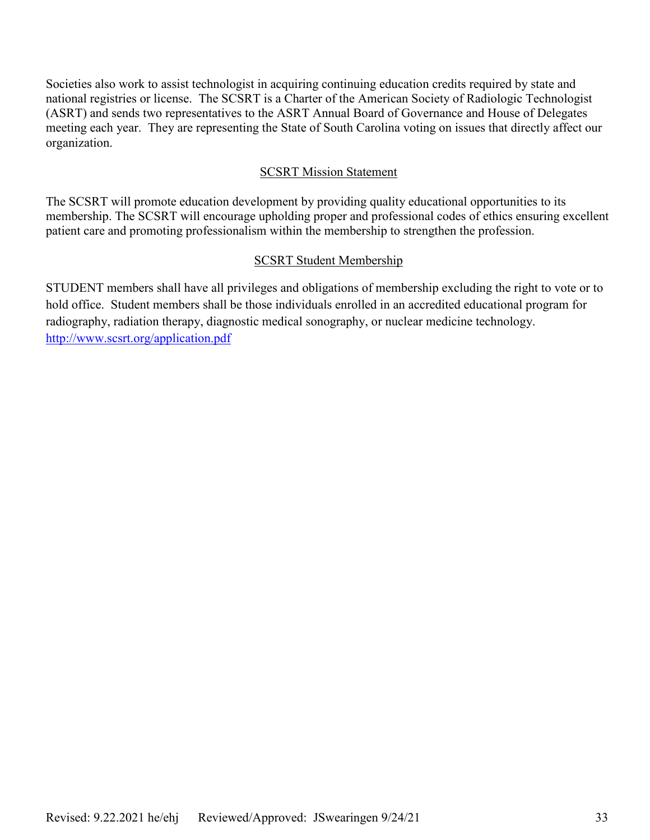Societies also work to assist technologist in acquiring continuing education credits required by state and national registries or license. The SCSRT is a Charter of the American Society of Radiologic Technologist (ASRT) and sends two representatives to the ASRT Annual Board of Governance and House of Delegates meeting each year. They are representing the State of South Carolina voting on issues that directly affect our organization.

#### SCSRT Mission Statement

The SCSRT will promote education development by providing quality educational opportunities to its membership. The SCSRT will encourage upholding proper and professional codes of ethics ensuring excellent patient care and promoting professionalism within the membership to strengthen the profession.

#### SCSRT Student Membership

STUDENT members shall have all privileges and obligations of membership excluding the right to vote or to hold office. Student members shall be those individuals enrolled in an accredited educational program for radiography, radiation therapy, diagnostic medical sonography, or nuclear medicine technology. <http://www.scsrt.org/application.pdf>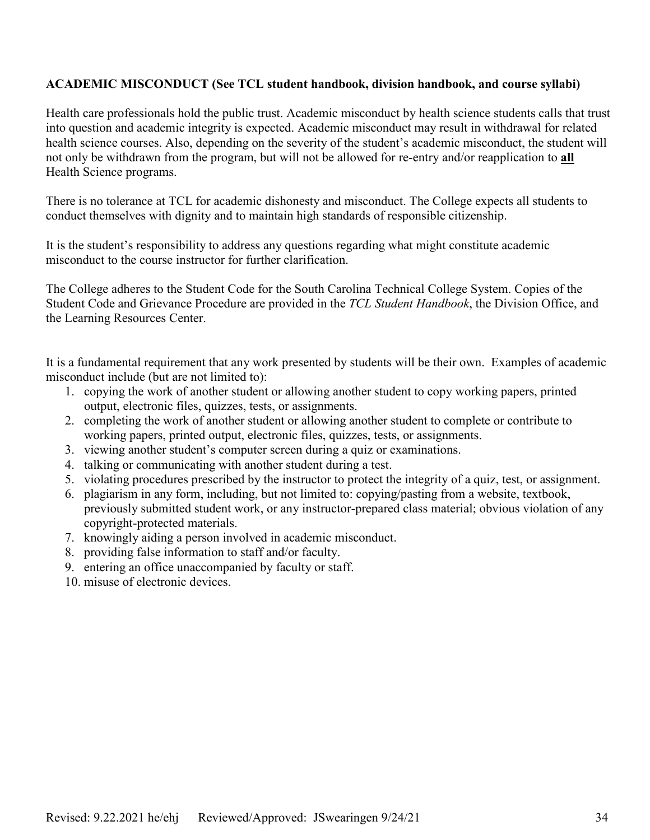# **ACADEMIC MISCONDUCT (See TCL student handbook, division handbook, and course syllabi)**

Health care professionals hold the public trust. Academic misconduct by health science students calls that trust into question and academic integrity is expected. Academic misconduct may result in withdrawal for related health science courses. Also, depending on the severity of the student's academic misconduct, the student will not only be withdrawn from the program, but will not be allowed for re-entry and/or reapplication to **all** Health Science programs.

There is no tolerance at TCL for academic dishonesty and misconduct. The College expects all students to conduct themselves with dignity and to maintain high standards of responsible citizenship.

It is the student's responsibility to address any questions regarding what might constitute academic misconduct to the course instructor for further clarification.

The College adheres to the Student Code for the South Carolina Technical College System. Copies of the Student Code and Grievance Procedure are provided in the *TCL Student Handbook*, the Division Office, and the Learning Resources Center.

It is a fundamental requirement that any work presented by students will be their own. Examples of academic misconduct include (but are not limited to):

- 1. copying the work of another student or allowing another student to copy working papers, printed output, electronic files, quizzes, tests, or assignments.
- 2. completing the work of another student or allowing another student to complete or contribute to working papers, printed output, electronic files, quizzes, tests, or assignments.
- 3. viewing another student's computer screen during a quiz or examinations.
- 4. talking or communicating with another student during a test.
- 5. violating procedures prescribed by the instructor to protect the integrity of a quiz, test, or assignment.
- 6. plagiarism in any form, including, but not limited to: copying/pasting from a website, textbook, previously submitted student work, or any instructor-prepared class material; obvious violation of any copyright-protected materials.
- 7. knowingly aiding a person involved in academic misconduct.
- 8. providing false information to staff and/or faculty.
- 9. entering an office unaccompanied by faculty or staff.
- 10. misuse of electronic devices.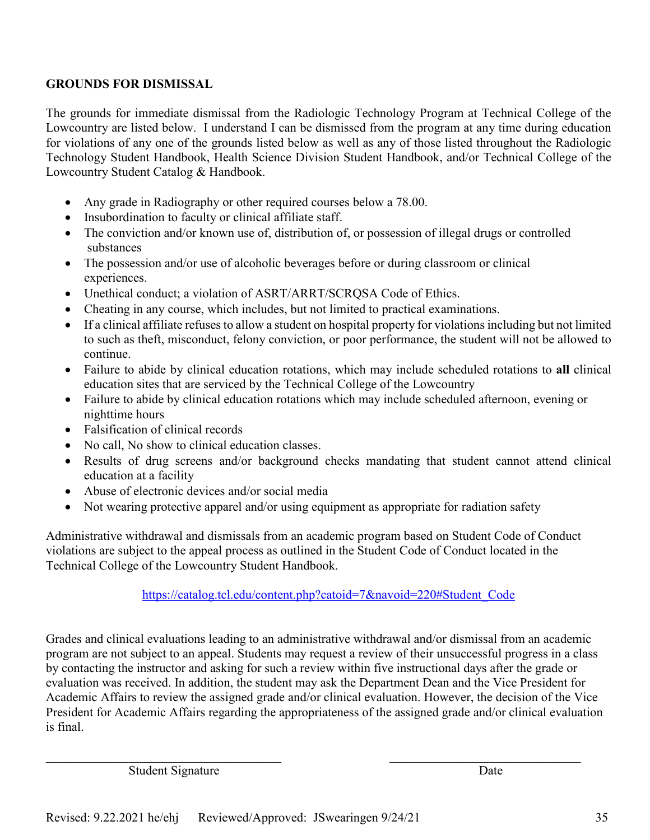# **GROUNDS FOR DISMISSAL**

The grounds for immediate dismissal from the Radiologic Technology Program at Technical College of the Lowcountry are listed below. I understand I can be dismissed from the program at any time during education for violations of any one of the grounds listed below as well as any of those listed throughout the Radiologic Technology Student Handbook, Health Science Division Student Handbook, and/or Technical College of the Lowcountry Student Catalog & Handbook.

- Any grade in Radiography or other required courses below a 78.00.
- Insubordination to faculty or clinical affiliate staff.
- The conviction and/or known use of, distribution of, or possession of illegal drugs or controlled substances
- The possession and/or use of alcoholic beverages before or during classroom or clinical experiences.
- Unethical conduct; a violation of ASRT/ARRT/SCRQSA Code of Ethics.
- Cheating in any course, which includes, but not limited to practical examinations.
- If a clinical affiliate refuses to allow a student on hospital property for violations including but not limited to such as theft, misconduct, felony conviction, or poor performance, the student will not be allowed to continue.
- Failure to abide by clinical education rotations, which may include scheduled rotations to **all** clinical education sites that are serviced by the Technical College of the Lowcountry
- Failure to abide by clinical education rotations which may include scheduled afternoon, evening or nighttime hours
- Falsification of clinical records
- No call. No show to clinical education classes.
- Results of drug screens and/or background checks mandating that student cannot attend clinical education at a facility
- Abuse of electronic devices and/or social media
- Not wearing protective apparel and/or using equipment as appropriate for radiation safety

Administrative withdrawal and dismissals from an academic program based on Student Code of Conduct violations are subject to the appeal process as outlined in the [Student Code of Conduct](http://catalog.tcl.edu/content.php?catoid=3&navoid=97&hl=Alumni+&returnto=search#Student_Code) located in the Technical College of the Lowcountry Student Handbook.

# [https://catalog.tcl.edu/content.php?catoid=7&navoid=220#Student\\_Code](https://catalog.tcl.edu/content.php?catoid=7&navoid=220#Student_Code)

Grades and clinical evaluations leading to an administrative withdrawal and/or dismissal from an academic program are not subject to an appeal. Students may request a review of their unsuccessful progress in a class by contacting the instructor and asking for such a review within five instructional days after the grade or evaluation was received. In addition, the student may ask the Department Dean and the Vice President for Academic Affairs to review the assigned grade and/or clinical evaluation. However, the decision of the Vice President for Academic Affairs regarding the appropriateness of the assigned grade and/or clinical evaluation is final.

Student Signature Date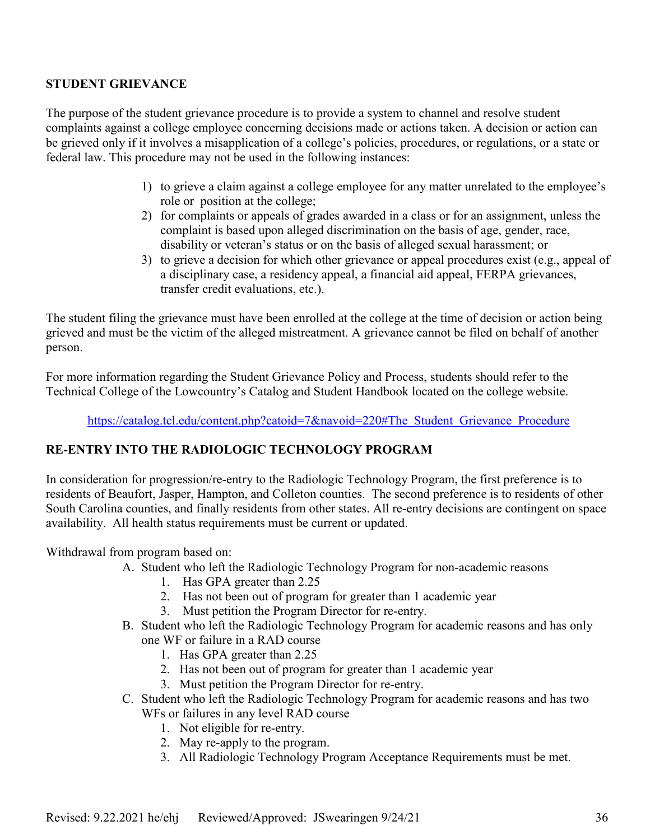# **STUDENT GRIEVANCE**

The purpose of the student grievance procedure is to provide a system to channel and resolve student complaints against a college employee concerning decisions made or actions taken. A decision or action can be grieved only if it involves a misapplication of a college's policies, procedures, or regulations, or a state or federal law. This procedure may not be used in the following instances:

- 1) to grieve a claim against a college employee for any matter unrelated to the employee's role or position at the college;
- 2) for complaints or appeals of grades awarded in a class or for an assignment, unless the complaint is based upon alleged discrimination on the basis of age, gender, race, disability or veteran's status or on the basis of alleged sexual harassment; or
- 3) to grieve a decision for which other grievance or appeal procedures exist (e.g., appeal of a disciplinary case, a residency appeal, a financial aid appeal, FERPA grievances, transfer credit evaluations, etc.).

The student filing the grievance must have been enrolled at the college at the time of decision or action being grieved and must be the victim of the alleged mistreatment. A grievance cannot be filed on behalf of another person.

For more information regarding the Student Grievance Policy and Process, students should refer to the Technical College of the Lowcountry's Catalog and Student Handbook located on the college website.

[https://catalog.tcl.edu/content.php?catoid=7&navoid=220#The\\_Student\\_Grievance\\_Procedure](https://catalog.tcl.edu/content.php?catoid=7&navoid=220#The_Student_Grievance_Procedure)

# **RE-ENTRY INTO THE RADIOLOGIC TECHNOLOGY PROGRAM**

In consideration for progression/re-entry to the Radiologic Technology Program, the first preference is to residents of Beaufort, Jasper, Hampton, and Colleton counties. The second preference is to residents of other South Carolina counties, and finally residents from other states. All re-entry decisions are contingent on space availability. All health status requirements must be current or updated.

Withdrawal from program based on:

- A. Student who left the Radiologic Technology Program for non-academic reasons
	- 1. Has GPA greater than 2.25
	- 2. Has not been out of program for greater than 1 academic year
	- 3. Must petition the Program Director for re-entry.
- B. Student who left the Radiologic Technology Program for academic reasons and has only one WF or failure in a RAD course
	- 1. Has GPA greater than 2.25
	- 2. Has not been out of program for greater than 1 academic year
	- 3. Must petition the Program Director for re-entry.
- C. Student who left the Radiologic Technology Program for academic reasons and has two WFs or failures in any level RAD course
	- 1. Not eligible for re-entry.
	- 2. May re-apply to the program.
	- 3. All Radiologic Technology Program Acceptance Requirements must be met.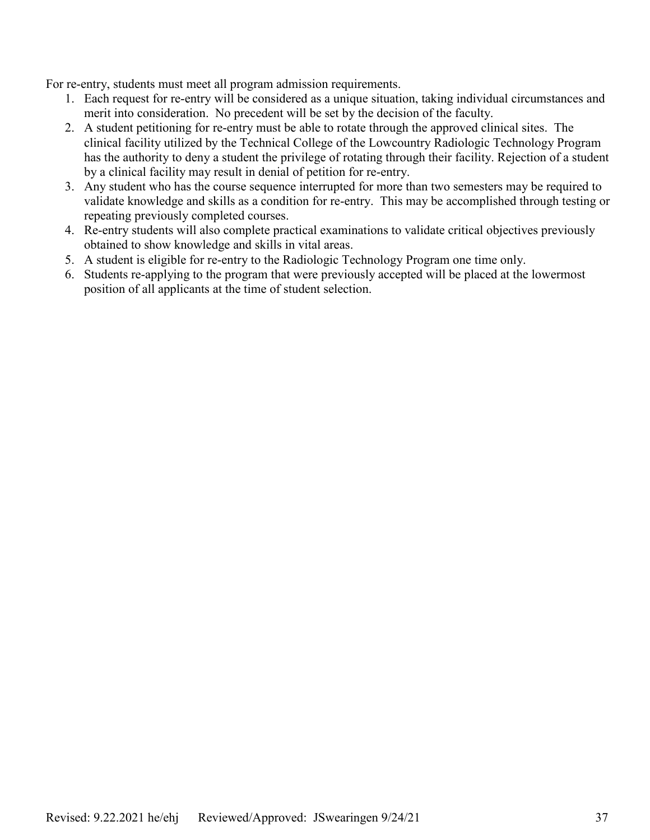For re-entry, students must meet all program admission requirements.

- 1. Each request for re-entry will be considered as a unique situation, taking individual circumstances and merit into consideration. No precedent will be set by the decision of the faculty.
- 2. A student petitioning for re-entry must be able to rotate through the approved clinical sites. The clinical facility utilized by the Technical College of the Lowcountry Radiologic Technology Program has the authority to deny a student the privilege of rotating through their facility. Rejection of a student by a clinical facility may result in denial of petition for re-entry.
- 3. Any student who has the course sequence interrupted for more than two semesters may be required to validate knowledge and skills as a condition for re-entry. This may be accomplished through testing or repeating previously completed courses.
- 4. Re-entry students will also complete practical examinations to validate critical objectives previously obtained to show knowledge and skills in vital areas.
- 5. A student is eligible for re-entry to the Radiologic Technology Program one time only.
- 6. Students re-applying to the program that were previously accepted will be placed at the lowermost position of all applicants at the time of student selection.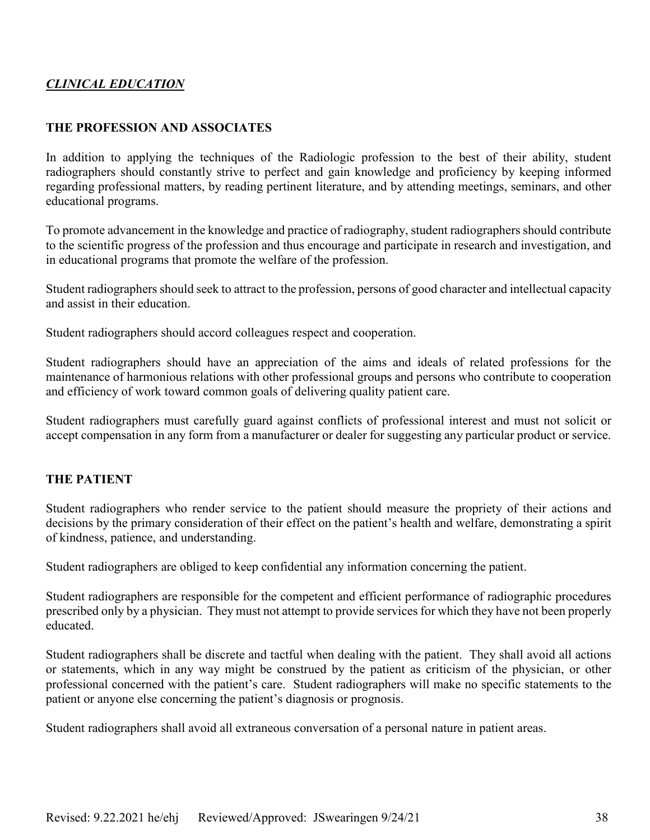# *CLINICAL EDUCATION*

# **THE PROFESSION AND ASSOCIATES**

In addition to applying the techniques of the Radiologic profession to the best of their ability, student radiographers should constantly strive to perfect and gain knowledge and proficiency by keeping informed regarding professional matters, by reading pertinent literature, and by attending meetings, seminars, and other educational programs.

To promote advancement in the knowledge and practice of radiography, student radiographers should contribute to the scientific progress of the profession and thus encourage and participate in research and investigation, and in educational programs that promote the welfare of the profession.

Student radiographers should seek to attract to the profession, persons of good character and intellectual capacity and assist in their education.

Student radiographers should accord colleagues respect and cooperation.

Student radiographers should have an appreciation of the aims and ideals of related professions for the maintenance of harmonious relations with other professional groups and persons who contribute to cooperation and efficiency of work toward common goals of delivering quality patient care.

Student radiographers must carefully guard against conflicts of professional interest and must not solicit or accept compensation in any form from a manufacturer or dealer for suggesting any particular product or service.

# **THE PATIENT**

Student radiographers who render service to the patient should measure the propriety of their actions and decisions by the primary consideration of their effect on the patient's health and welfare, demonstrating a spirit of kindness, patience, and understanding.

Student radiographers are obliged to keep confidential any information concerning the patient.

Student radiographers are responsible for the competent and efficient performance of radiographic procedures prescribed only by a physician. They must not attempt to provide services for which they have not been properly educated.

Student radiographers shall be discrete and tactful when dealing with the patient. They shall avoid all actions or statements, which in any way might be construed by the patient as criticism of the physician, or other professional concerned with the patient's care. Student radiographers will make no specific statements to the patient or anyone else concerning the patient's diagnosis or prognosis.

Student radiographers shall avoid all extraneous conversation of a personal nature in patient areas.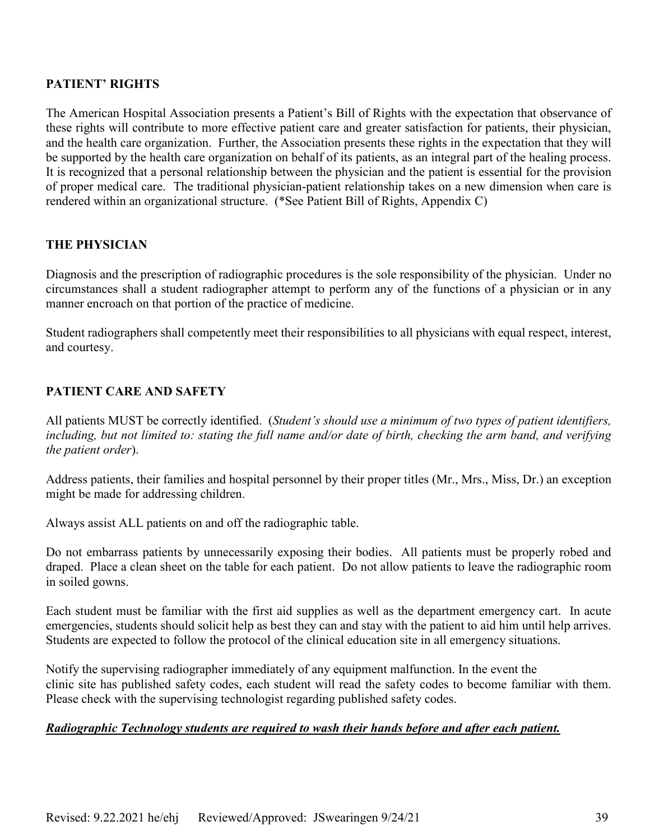# **PATIENT' RIGHTS**

The American Hospital Association presents a Patient's Bill of Rights with the expectation that observance of these rights will contribute to more effective patient care and greater satisfaction for patients, their physician, and the health care organization. Further, the Association presents these rights in the expectation that they will be supported by the health care organization on behalf of its patients, as an integral part of the healing process. It is recognized that a personal relationship between the physician and the patient is essential for the provision of proper medical care. The traditional physician-patient relationship takes on a new dimension when care is rendered within an organizational structure. (\*See Patient Bill of Rights, Appendix C)

# **THE PHYSICIAN**

Diagnosis and the prescription of radiographic procedures is the sole responsibility of the physician. Under no circumstances shall a student radiographer attempt to perform any of the functions of a physician or in any manner encroach on that portion of the practice of medicine.

Student radiographers shall competently meet their responsibilities to all physicians with equal respect, interest, and courtesy.

# **PATIENT CARE AND SAFETY**

All patients MUST be correctly identified. (*Student's should use a minimum of two types of patient identifiers, including, but not limited to: stating the full name and/or date of birth, checking the arm band, and verifying the patient order*).

Address patients, their families and hospital personnel by their proper titles (Mr., Mrs., Miss, Dr.) an exception might be made for addressing children.

Always assist ALL patients on and off the radiographic table.

Do not embarrass patients by unnecessarily exposing their bodies. All patients must be properly robed and draped. Place a clean sheet on the table for each patient. Do not allow patients to leave the radiographic room in soiled gowns.

Each student must be familiar with the first aid supplies as well as the department emergency cart. In acute emergencies, students should solicit help as best they can and stay with the patient to aid him until help arrives. Students are expected to follow the protocol of the clinical education site in all emergency situations.

Notify the supervising radiographer immediately of any equipment malfunction. In the event the clinic site has published safety codes, each student will read the safety codes to become familiar with them. Please check with the supervising technologist regarding published safety codes.

# *Radiographic Technology students are required to wash their hands before and after each patient.*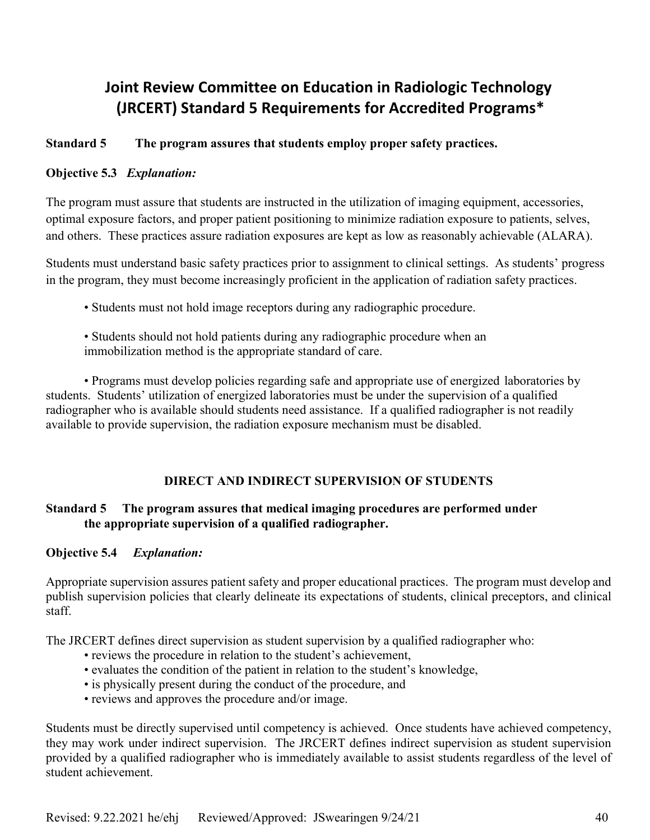# **Joint Review Committee on Education in Radiologic Technology (JRCERT) Standard 5 Requirements for Accredited Programs\***

# **Standard 5 The program assures that students employ proper safety practices.**

# **Objective 5.3** *Explanation:*

The program must assure that students are instructed in the utilization of imaging equipment, accessories, optimal exposure factors, and proper patient positioning to minimize radiation exposure to patients, selves, and others. These practices assure radiation exposures are kept as low as reasonably achievable (ALARA).

Students must understand basic safety practices prior to assignment to clinical settings. As students' progress in the program, they must become increasingly proficient in the application of radiation safety practices.

• Students must not hold image receptors during any radiographic procedure.

• Students should not hold patients during any radiographic procedure when an immobilization method is the appropriate standard of care.

• Programs must develop policies regarding safe and appropriate use of energized laboratories by students. Students' utilization of energized laboratories must be under the supervision of a qualified radiographer who is available should students need assistance. If a qualified radiographer is not readily available to provide supervision, the radiation exposure mechanism must be disabled.

# **DIRECT AND INDIRECT SUPERVISION OF STUDENTS**

# **Standard 5 The program assures that medical imaging procedures are performed under the appropriate supervision of a qualified radiographer.**

# **Objective 5.4** *Explanation:*

Appropriate supervision assures patient safety and proper educational practices. The program must develop and publish supervision policies that clearly delineate its expectations of students, clinical preceptors, and clinical staff.

The JRCERT defines direct supervision as student supervision by a qualified radiographer who:

- reviews the procedure in relation to the student's achievement,
- evaluates the condition of the patient in relation to the student's knowledge,
- is physically present during the conduct of the procedure, and
- reviews and approves the procedure and/or image.

Students must be directly supervised until competency is achieved. Once students have achieved competency, they may work under indirect supervision. The JRCERT defines indirect supervision as student supervision provided by a qualified radiographer who is immediately available to assist students regardless of the level of student achievement.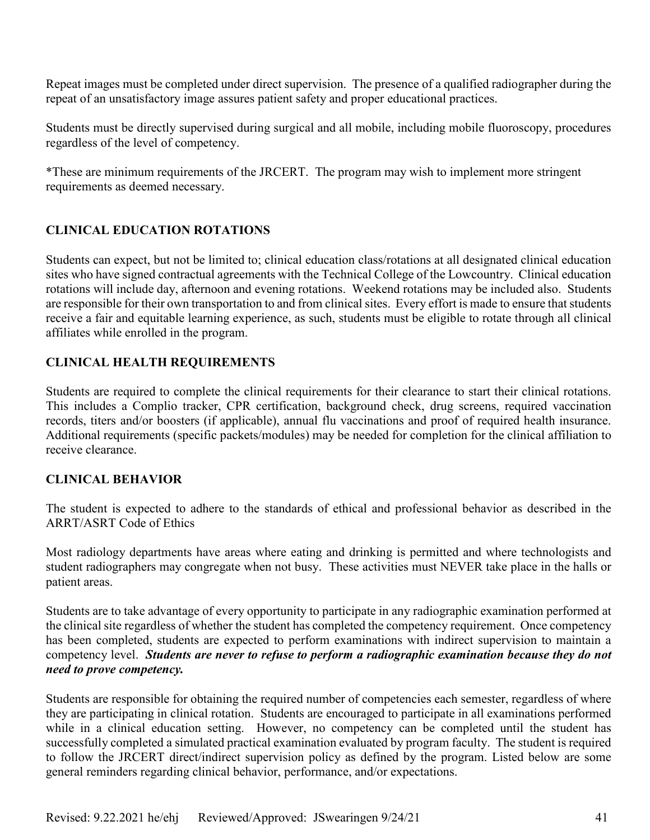Repeat images must be completed under direct supervision. The presence of a qualified radiographer during the repeat of an unsatisfactory image assures patient safety and proper educational practices.

Students must be directly supervised during surgical and all mobile, including mobile fluoroscopy, procedures regardless of the level of competency.

\*These are minimum requirements of the JRCERT. The program may wish to implement more stringent requirements as deemed necessary.

# **CLINICAL EDUCATION ROTATIONS**

Students can expect, but not be limited to; clinical education class/rotations at all designated clinical education sites who have signed contractual agreements with the Technical College of the Lowcountry. Clinical education rotations will include day, afternoon and evening rotations. Weekend rotations may be included also. Students are responsible for their own transportation to and from clinical sites. Every effort is made to ensure that students receive a fair and equitable learning experience, as such, students must be eligible to rotate through all clinical affiliates while enrolled in the program.

# **CLINICAL HEALTH REQUIREMENTS**

Students are required to complete the clinical requirements for their clearance to start their clinical rotations. This includes a Complio tracker, CPR certification, background check, drug screens, required vaccination records, titers and/or boosters (if applicable), annual flu vaccinations and proof of required health insurance. Additional requirements (specific packets/modules) may be needed for completion for the clinical affiliation to receive clearance.

# **CLINICAL BEHAVIOR**

The student is expected to adhere to the standards of ethical and professional behavior as described in the ARRT/ASRT Code of Ethics

Most radiology departments have areas where eating and drinking is permitted and where technologists and student radiographers may congregate when not busy. These activities must NEVER take place in the halls or patient areas.

Students are to take advantage of every opportunity to participate in any radiographic examination performed at the clinical site regardless of whether the student has completed the competency requirement. Once competency has been completed, students are expected to perform examinations with indirect supervision to maintain a competency level. *Students are never to refuse to perform a radiographic examination because they do not need to prove competency.*

Students are responsible for obtaining the required number of competencies each semester, regardless of where they are participating in clinical rotation. Students are encouraged to participate in all examinations performed while in a clinical education setting. However, no competency can be completed until the student has successfully completed a simulated practical examination evaluated by program faculty. The student is required to follow the JRCERT direct/indirect supervision policy as defined by the program. Listed below are some general reminders regarding clinical behavior, performance, and/or expectations.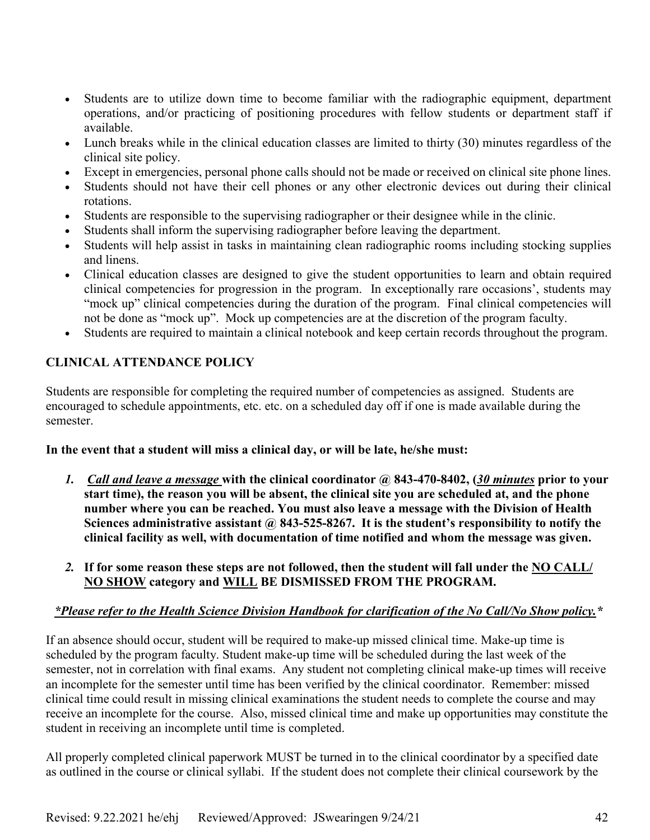- Students are to utilize down time to become familiar with the radiographic equipment, department operations, and/or practicing of positioning procedures with fellow students or department staff if available.
- Lunch breaks while in the clinical education classes are limited to thirty (30) minutes regardless of the clinical site policy.
- Except in emergencies, personal phone calls should not be made or received on clinical site phone lines.
- Students should not have their cell phones or any other electronic devices out during their clinical rotations.
- Students are responsible to the supervising radiographer or their designee while in the clinic.
- Students shall inform the supervising radiographer before leaving the department.
- Students will help assist in tasks in maintaining clean radiographic rooms including stocking supplies and linens.
- Clinical education classes are designed to give the student opportunities to learn and obtain required clinical competencies for progression in the program. In exceptionally rare occasions', students may "mock up" clinical competencies during the duration of the program. Final clinical competencies will not be done as "mock up". Mock up competencies are at the discretion of the program faculty.
- Students are required to maintain a clinical notebook and keep certain records throughout the program.

# **CLINICAL ATTENDANCE POLICY**

Students are responsible for completing the required number of competencies as assigned. Students are encouraged to schedule appointments, etc. etc. on a scheduled day off if one is made available during the semester.

# **In the event that a student will miss a clinical day, or will be late, he/she must:**

- *1. Call and leave a message* **with the clinical coordinator @ 843-470-8402, (***30 minutes* **prior to your start time), the reason you will be absent, the clinical site you are scheduled at, and the phone number where you can be reached. You must also leave a message with the Division of Health**  Sciences administrative assistant @ 843-525-8267. It is the student's responsibility to notify the **clinical facility as well, with documentation of time notified and whom the message was given.**
- *2.* **If for some reason these steps are not followed, then the student will fall under the NO CALL/ NO SHOW category and WILL BE DISMISSED FROM THE PROGRAM.**

# *\*Please refer to the Health Science Division Handbook for clarification of the No Call/No Show policy.\**

If an absence should occur, student will be required to make-up missed clinical time. Make-up time is scheduled by the program faculty. Student make-up time will be scheduled during the last week of the semester, not in correlation with final exams. Any student not completing clinical make-up times will receive an incomplete for the semester until time has been verified by the clinical coordinator. Remember: missed clinical time could result in missing clinical examinations the student needs to complete the course and may receive an incomplete for the course. Also, missed clinical time and make up opportunities may constitute the student in receiving an incomplete until time is completed.

All properly completed clinical paperwork MUST be turned in to the clinical coordinator by a specified date as outlined in the course or clinical syllabi. If the student does not complete their clinical coursework by the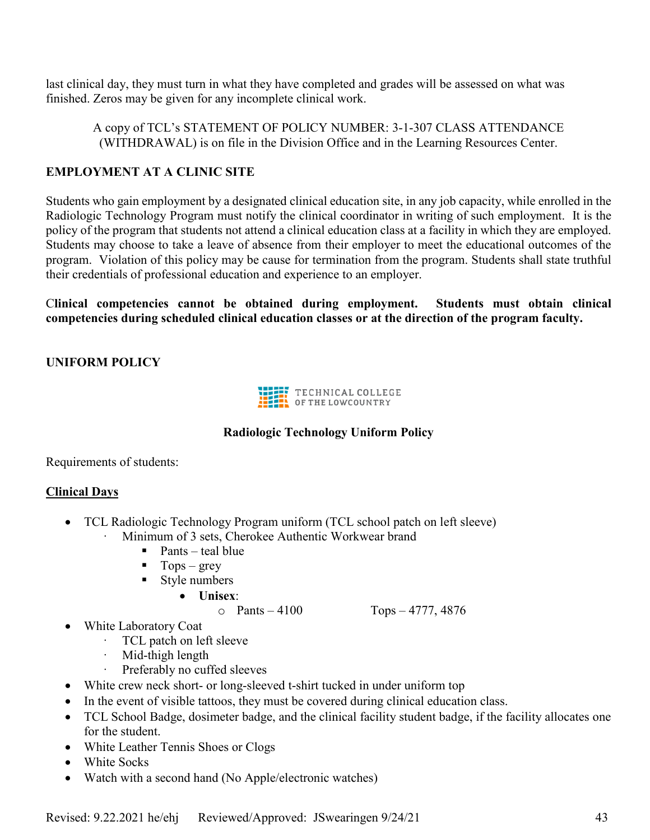last clinical day, they must turn in what they have completed and grades will be assessed on what was finished. Zeros may be given for any incomplete clinical work.

A copy of TCL's STATEMENT OF POLICY NUMBER: 3-1-307 CLASS ATTENDANCE (WITHDRAWAL) is on file in the Division Office and in the Learning Resources Center.

# **EMPLOYMENT AT A CLINIC SITE**

Students who gain employment by a designated clinical education site, in any job capacity, while enrolled in the Radiologic Technology Program must notify the clinical coordinator in writing of such employment. It is the policy of the program that students not attend a clinical education class at a facility in which they are employed. Students may choose to take a leave of absence from their employer to meet the educational outcomes of the program. Violation of this policy may be cause for termination from the program. Students shall state truthful their credentials of professional education and experience to an employer.

C**linical competencies cannot be obtained during employment. Students must obtain clinical competencies during scheduled clinical education classes or at the direction of the program faculty.**

# **UNIFORM POLICY**



# **Radiologic Technology Uniform Policy**

Requirements of students:

# **Clinical Days**

- TCL Radiologic Technology Program uniform (TCL school patch on left sleeve)
	- Minimum of 3 sets, Cherokee Authentic Workwear brand
		- $\blacksquare$  Pants teal blue
		- $\blacksquare$  Tops grey
		- **Style numbers** 
			- **Unisex**:
				-

 $\circ$  Pants – 4100 Tops – 4777, 4876

- White Laboratory Coat
	- TCL patch on left sleeve
	- Mid-thigh length
	- Preferably no cuffed sleeves
- White crew neck short- or long-sleeved t-shirt tucked in under uniform top
- In the event of visible tattoos, they must be covered during clinical education class.
- TCL School Badge, dosimeter badge, and the clinical facility student badge, if the facility allocates one for the student.
- White Leather Tennis Shoes or Clogs
- White Socks
- Watch with a second hand (No Apple/electronic watches)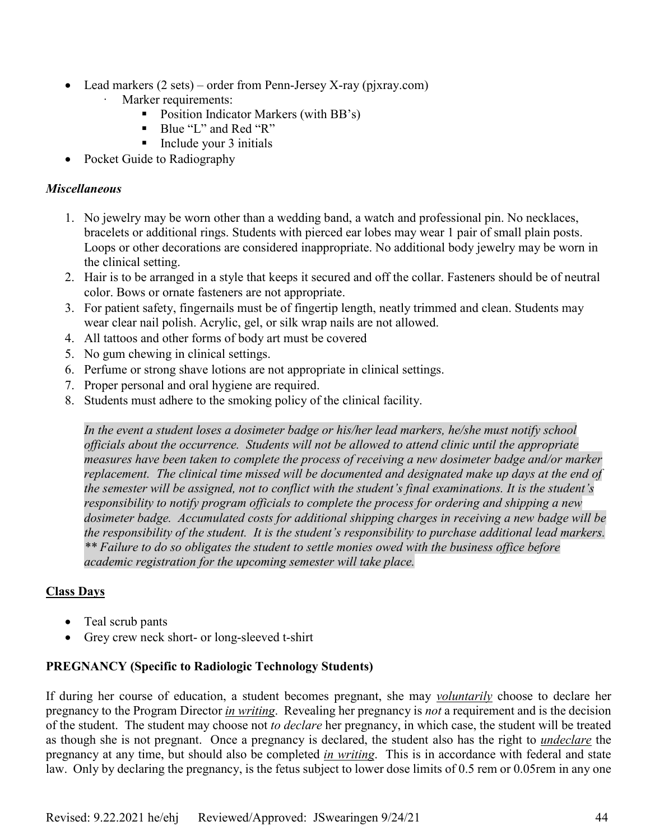- Lead markers (2 sets) order from Penn-Jersey X-ray (pjxray.com)
	- Marker requirements:
		- **Position Indicator Markers (with BB's)**
		- Blue "L" and Red "R"
		- $\blacksquare$  Include your 3 initials
- Pocket Guide to Radiography

# *Miscellaneous*

- 1. No jewelry may be worn other than a wedding band, a watch and professional pin. No necklaces, bracelets or additional rings. Students with pierced ear lobes may wear 1 pair of small plain posts. Loops or other decorations are considered inappropriate. No additional body jewelry may be worn in the clinical setting.
- 2. Hair is to be arranged in a style that keeps it secured and off the collar. Fasteners should be of neutral color. Bows or ornate fasteners are not appropriate.
- 3. For patient safety, fingernails must be of fingertip length, neatly trimmed and clean. Students may wear clear nail polish. Acrylic, gel, or silk wrap nails are not allowed.
- 4. All tattoos and other forms of body art must be covered
- 5. No gum chewing in clinical settings.
- 6. Perfume or strong shave lotions are not appropriate in clinical settings.
- 7. Proper personal and oral hygiene are required.
- 8. Students must adhere to the smoking policy of the clinical facility.

*In the event a student loses a dosimeter badge or his/her lead markers, he/she must notify school officials about the occurrence. Students will not be allowed to attend clinic until the appropriate measures have been taken to complete the process of receiving a new dosimeter badge and/or marker replacement. The clinical time missed will be documented and designated make up days at the end of the semester will be assigned, not to conflict with the student's final examinations. It is the student's responsibility to notify program officials to complete the process for ordering and shipping a new dosimeter badge. Accumulated costs for additional shipping charges in receiving a new badge will be the responsibility of the student. It is the student's responsibility to purchase additional lead markers. \*\* Failure to do so obligates the student to settle monies owed with the business office before academic registration for the upcoming semester will take place.*

# **Class Days**

- Teal scrub pants
- Grey crew neck short- or long-sleeved t-shirt

# **PREGNANCY (Specific to Radiologic Technology Students)**

If during her course of education, a student becomes pregnant, she may *voluntarily* choose to declare her pregnancy to the Program Director *in writing*. Revealing her pregnancy is *not* a requirement and is the decision of the student. The student may choose not *to declare* her pregnancy, in which case, the student will be treated as though she is not pregnant. Once a pregnancy is declared, the student also has the right to *undeclare* the pregnancy at any time, but should also be completed *in writing*. This is in accordance with federal and state law. Only by declaring the pregnancy, is the fetus subject to lower dose limits of 0.5 rem or 0.05rem in any one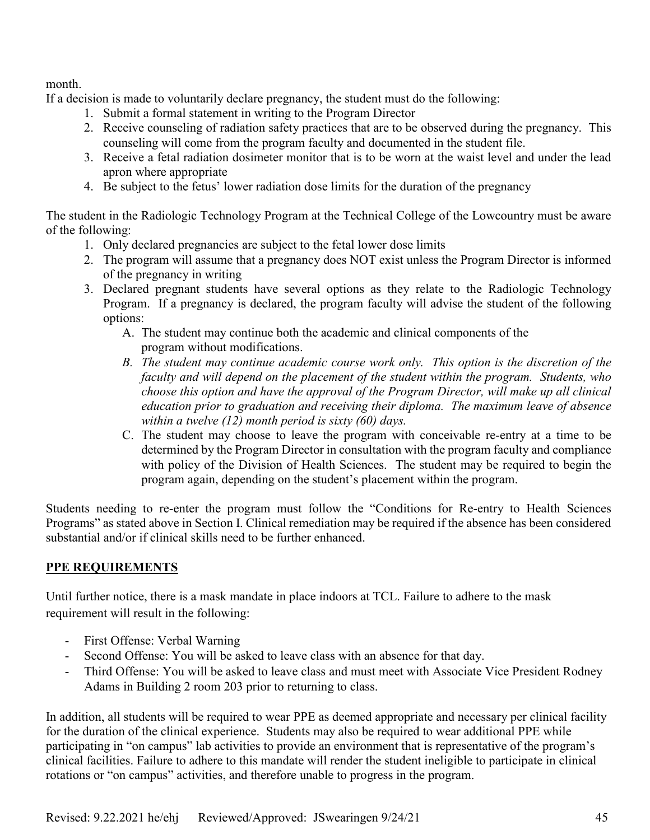month.

If a decision is made to voluntarily declare pregnancy, the student must do the following:

- 1. Submit a formal statement in writing to the Program Director
- 2. Receive counseling of radiation safety practices that are to be observed during the pregnancy. This counseling will come from the program faculty and documented in the student file.
- 3. Receive a fetal radiation dosimeter monitor that is to be worn at the waist level and under the lead apron where appropriate
- 4. Be subject to the fetus' lower radiation dose limits for the duration of the pregnancy

The student in the Radiologic Technology Program at the Technical College of the Lowcountry must be aware of the following:

- 1. Only declared pregnancies are subject to the fetal lower dose limits
- 2. The program will assume that a pregnancy does NOT exist unless the Program Director is informed of the pregnancy in writing
- 3. Declared pregnant students have several options as they relate to the Radiologic Technology Program. If a pregnancy is declared, the program faculty will advise the student of the following options:
	- A. The student may continue both the academic and clinical components of the program without modifications.
	- *B. The student may continue academic course work only. This option is the discretion of the faculty and will depend on the placement of the student within the program. Students, who choose this option and have the approval of the Program Director, will make up all clinical education prior to graduation and receiving their diploma. The maximum leave of absence within a twelve (12) month period is sixty (60) days.*
	- C. The student may choose to leave the program with conceivable re-entry at a time to be determined by the Program Director in consultation with the program faculty and compliance with policy of the Division of Health Sciences. The student may be required to begin the program again, depending on the student's placement within the program.

Students needing to re-enter the program must follow the "Conditions for Re-entry to Health Sciences Programs" as stated above in Section I. Clinical remediation may be required if the absence has been considered substantial and/or if clinical skills need to be further enhanced.

# **PPE REQUIREMENTS**

Until further notice, there is a mask mandate in place indoors at TCL. Failure to adhere to the mask requirement will result in the following:

- First Offense: Verbal Warning
- Second Offense: You will be asked to leave class with an absence for that day.
- Third Offense: You will be asked to leave class and must meet with Associate Vice President Rodney Adams in Building 2 room 203 prior to returning to class.

In addition, all students will be required to wear PPE as deemed appropriate and necessary per clinical facility for the duration of the clinical experience. Students may also be required to wear additional PPE while participating in "on campus" lab activities to provide an environment that is representative of the program's clinical facilities. Failure to adhere to this mandate will render the student ineligible to participate in clinical rotations or "on campus" activities, and therefore unable to progress in the program.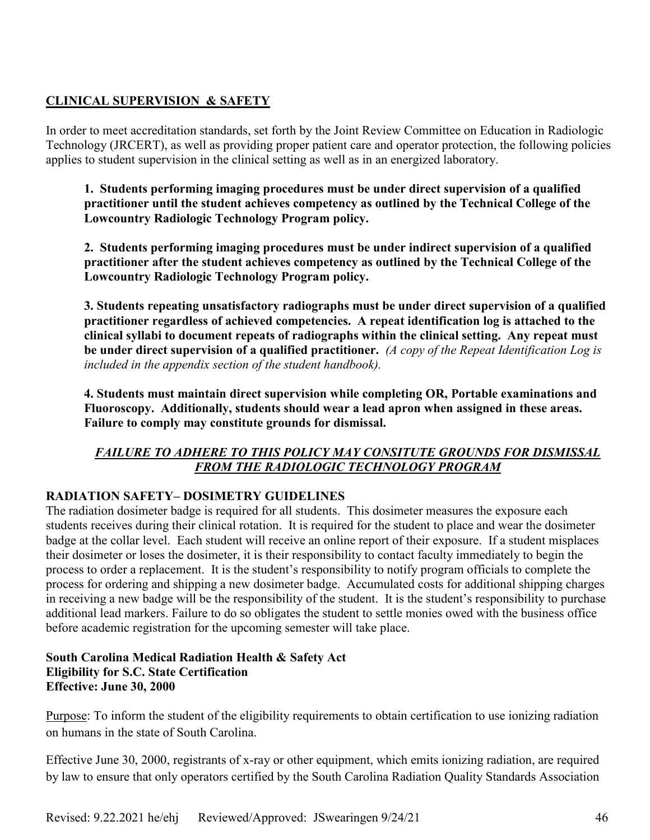# **CLINICAL SUPERVISION & SAFETY**

In order to meet accreditation standards, set forth by the Joint Review Committee on Education in Radiologic Technology (JRCERT), as well as providing proper patient care and operator protection, the following policies applies to student supervision in the clinical setting as well as in an energized laboratory.

**1. Students performing imaging procedures must be under direct supervision of a qualified practitioner until the student achieves competency as outlined by the Technical College of the Lowcountry Radiologic Technology Program policy.** 

**2. Students performing imaging procedures must be under indirect supervision of a qualified practitioner after the student achieves competency as outlined by the Technical College of the Lowcountry Radiologic Technology Program policy.** 

**3. Students repeating unsatisfactory radiographs must be under direct supervision of a qualified practitioner regardless of achieved competencies. A repeat identification log is attached to the clinical syllabi to document repeats of radiographs within the clinical setting. Any repeat must be under direct supervision of a qualified practitioner.** *(A copy of the Repeat Identification Log is included in the appendix section of the student handbook).* 

**4. Students must maintain direct supervision while completing OR, Portable examinations and Fluoroscopy. Additionally, students should wear a lead apron when assigned in these areas. Failure to comply may constitute grounds for dismissal.** 

# *FAILURE TO ADHERE TO THIS POLICY MAY CONSITUTE GROUNDS FOR DISMISSAL FROM THE RADIOLOGIC TECHNOLOGY PROGRAM*

# **RADIATION SAFETY– DOSIMETRY GUIDELINES**

The radiation dosimeter badge is required for all students. This dosimeter measures the exposure each students receives during their clinical rotation. It is required for the student to place and wear the dosimeter badge at the collar level. Each student will receive an online report of their exposure. If a student misplaces their dosimeter or loses the dosimeter, it is their responsibility to contact faculty immediately to begin the process to order a replacement. It is the student's responsibility to notify program officials to complete the process for ordering and shipping a new dosimeter badge. Accumulated costs for additional shipping charges in receiving a new badge will be the responsibility of the student. It is the student's responsibility to purchase additional lead markers. Failure to do so obligates the student to settle monies owed with the business office before academic registration for the upcoming semester will take place.

#### **South Carolina Medical Radiation Health & Safety Act Eligibility for S.C. State Certification Effective: June 30, 2000**

Purpose: To inform the student of the eligibility requirements to obtain certification to use ionizing radiation on humans in the state of South Carolina.

Effective June 30, 2000, registrants of x-ray or other equipment, which emits ionizing radiation, are required by law to ensure that only operators certified by the South Carolina Radiation Quality Standards Association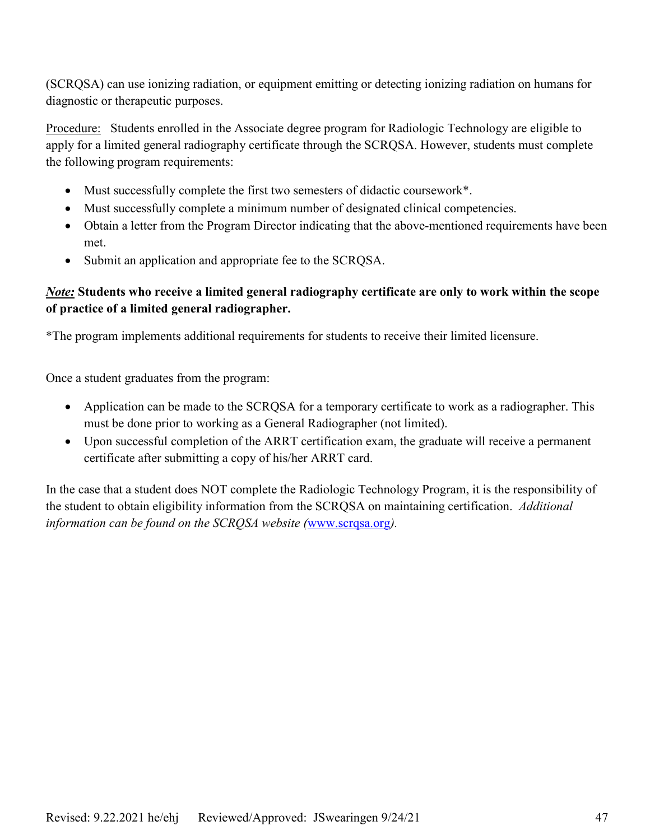(SCRQSA) can use ionizing radiation, or equipment emitting or detecting ionizing radiation on humans for diagnostic or therapeutic purposes.

Procedure: Students enrolled in the Associate degree program for Radiologic Technology are eligible to apply for a limited general radiography certificate through the SCRQSA. However, students must complete the following program requirements:

- Must successfully complete the first two semesters of didactic coursework\*.
- Must successfully complete a minimum number of designated clinical competencies.
- Obtain a letter from the Program Director indicating that the above-mentioned requirements have been met.
- Submit an application and appropriate fee to the SCRQSA.

# *Note:* **Students who receive a limited general radiography certificate are only to work within the scope of practice of a limited general radiographer.**

\*The program implements additional requirements for students to receive their limited licensure.

Once a student graduates from the program:

- Application can be made to the SCRQSA for a temporary certificate to work as a radiographer. This must be done prior to working as a General Radiographer (not limited).
- Upon successful completion of the ARRT certification exam, the graduate will receive a permanent certificate after submitting a copy of his/her ARRT card.

In the case that a student does NOT complete the Radiologic Technology Program, it is the responsibility of the student to obtain eligibility information from the SCRQSA on maintaining certification. *Additional information can be found on the SCRQSA website (*www.scrqsa.org*).*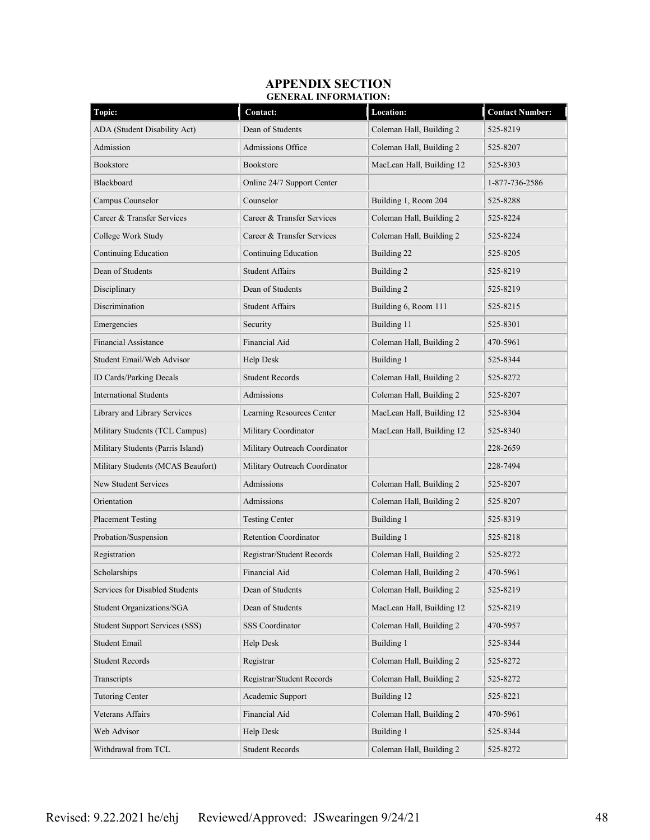#### **APPENDIX SECTION GENERAL INFORMATION:**

| Topic:                                | Contact:                      | <b>Location:</b>          | <b>Contact Number:</b> |
|---------------------------------------|-------------------------------|---------------------------|------------------------|
| ADA (Student Disability Act)          | Dean of Students              | Coleman Hall, Building 2  | 525-8219               |
| Admission                             | Admissions Office             | Coleman Hall, Building 2  | 525-8207               |
| Bookstore                             | Bookstore                     | MacLean Hall, Building 12 | 525-8303               |
| Blackboard                            | Online 24/7 Support Center    |                           | 1-877-736-2586         |
| Campus Counselor                      | Counselor                     | Building 1, Room 204      | 525-8288               |
| Career & Transfer Services            | Career & Transfer Services    | Coleman Hall, Building 2  | 525-8224               |
| College Work Study                    | Career & Transfer Services    | Coleman Hall, Building 2  | 525-8224               |
| <b>Continuing Education</b>           | Continuing Education          | Building 22               | 525-8205               |
| Dean of Students                      | <b>Student Affairs</b>        | Building 2                | 525-8219               |
| Disciplinary                          | Dean of Students              | Building 2                | 525-8219               |
| Discrimination                        | <b>Student Affairs</b>        | Building 6, Room 111      | 525-8215               |
| Emergencies                           | Security                      | Building 11               | 525-8301               |
| <b>Financial Assistance</b>           | Financial Aid                 | Coleman Hall, Building 2  | 470-5961               |
| Student Email/Web Advisor             | Help Desk                     | Building 1                | 525-8344               |
| ID Cards/Parking Decals               | <b>Student Records</b>        | Coleman Hall, Building 2  | 525-8272               |
| <b>International Students</b>         | Admissions                    | Coleman Hall, Building 2  | 525-8207               |
| Library and Library Services          | Learning Resources Center     | MacLean Hall, Building 12 | 525-8304               |
| Military Students (TCL Campus)        | Military Coordinator          | MacLean Hall, Building 12 | 525-8340               |
| Military Students (Parris Island)     | Military Outreach Coordinator |                           | 228-2659               |
| Military Students (MCAS Beaufort)     | Military Outreach Coordinator |                           | 228-7494               |
| <b>New Student Services</b>           | Admissions                    | Coleman Hall, Building 2  | 525-8207               |
| Orientation                           | Admissions                    | Coleman Hall, Building 2  | 525-8207               |
| <b>Placement Testing</b>              | <b>Testing Center</b>         | Building 1                | 525-8319               |
| Probation/Suspension                  | <b>Retention Coordinator</b>  | Building 1                | 525-8218               |
| Registration                          | Registrar/Student Records     | Coleman Hall, Building 2  | 525-8272               |
| Scholarships                          | Financial Aid                 | Coleman Hall, Building 2  | 470-5961               |
| Services for Disabled Students        | Dean of Students              | Coleman Hall, Building 2  | 525-8219               |
| Student Organizations/SGA             | Dean of Students              | MacLean Hall, Building 12 | 525-8219               |
| <b>Student Support Services (SSS)</b> | <b>SSS Coordinator</b>        | Coleman Hall, Building 2  | 470-5957               |
| Student Email                         | Help Desk                     | Building 1                | 525-8344               |
| <b>Student Records</b>                | Registrar                     | Coleman Hall, Building 2  | 525-8272               |
| Transcripts                           | Registrar/Student Records     | Coleman Hall, Building 2  | 525-8272               |
| <b>Tutoring Center</b>                | Academic Support              | Building 12               | 525-8221               |
| Veterans Affairs                      | Financial Aid                 | Coleman Hall, Building 2  | 470-5961               |
| Web Advisor                           | Help Desk                     | Building 1                | 525-8344               |
| Withdrawal from TCL                   | <b>Student Records</b>        | Coleman Hall, Building 2  | 525-8272               |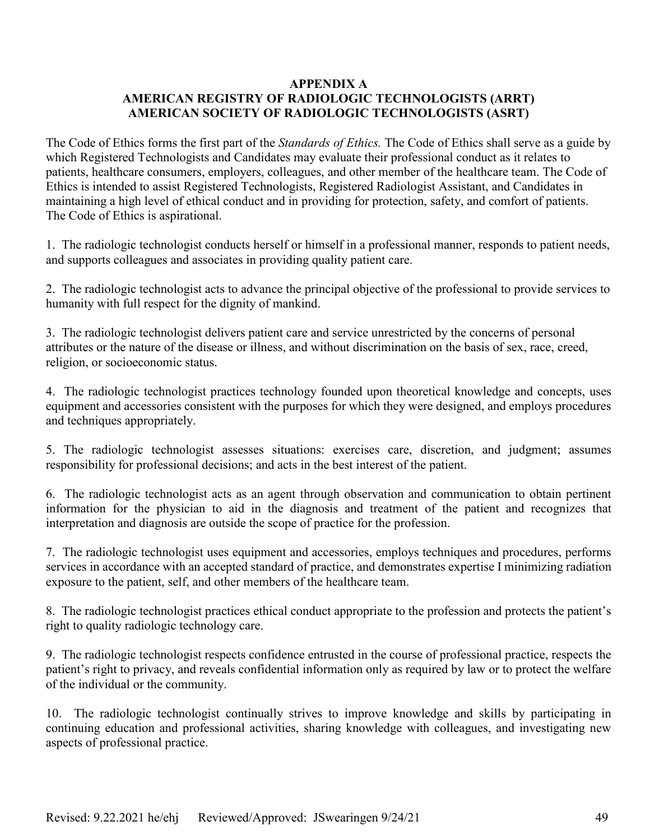# **APPENDIX A AMERICAN REGISTRY OF RADIOLOGIC TECHNOLOGISTS (ARRT) AMERICAN SOCIETY OF RADIOLOGIC TECHNOLOGISTS (ASRT)**

The Code of Ethics forms the first part of the *Standards of Ethics.* The Code of Ethics shall serve as a guide by which Registered Technologists and Candidates may evaluate their professional conduct as it relates to patients, healthcare consumers, employers, colleagues, and other member of the healthcare team. The Code of Ethics is intended to assist Registered Technologists, Registered Radiologist Assistant, and Candidates in maintaining a high level of ethical conduct and in providing for protection, safety, and comfort of patients. The Code of Ethics is aspirational.

1. The radiologic technologist conducts herself or himself in a professional manner, responds to patient needs, and supports colleagues and associates in providing quality patient care.

2. The radiologic technologist acts to advance the principal objective of the professional to provide services to humanity with full respect for the dignity of mankind.

3. The radiologic technologist delivers patient care and service unrestricted by the concerns of personal attributes or the nature of the disease or illness, and without discrimination on the basis of sex, race, creed, religion, or socioeconomic status.

4. The radiologic technologist practices technology founded upon theoretical knowledge and concepts, uses equipment and accessories consistent with the purposes for which they were designed, and employs procedures and techniques appropriately.

5. The radiologic technologist assesses situations: exercises care, discretion, and judgment; assumes responsibility for professional decisions; and acts in the best interest of the patient.

6. The radiologic technologist acts as an agent through observation and communication to obtain pertinent information for the physician to aid in the diagnosis and treatment of the patient and recognizes that interpretation and diagnosis are outside the scope of practice for the profession.

7. The radiologic technologist uses equipment and accessories, employs techniques and procedures, performs services in accordance with an accepted standard of practice, and demonstrates expertise I minimizing radiation exposure to the patient, self, and other members of the healthcare team.

8. The radiologic technologist practices ethical conduct appropriate to the profession and protects the patient's right to quality radiologic technology care.

9. The radiologic technologist respects confidence entrusted in the course of professional practice, respects the patient's right to privacy, and reveals confidential information only as required by law or to protect the welfare of the individual or the community.

10. The radiologic technologist continually strives to improve knowledge and skills by participating in continuing education and professional activities, sharing knowledge with colleagues, and investigating new aspects of professional practice.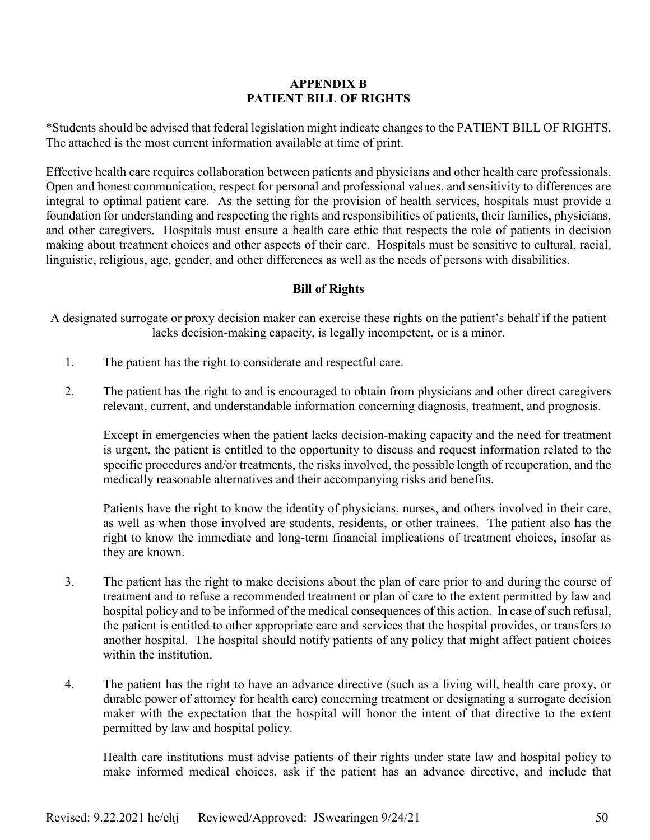# **APPENDIX B PATIENT BILL OF RIGHTS**

\*Students should be advised that federal legislation might indicate changes to the PATIENT BILL OF RIGHTS. The attached is the most current information available at time of print.

Effective health care requires collaboration between patients and physicians and other health care professionals. Open and honest communication, respect for personal and professional values, and sensitivity to differences are integral to optimal patient care. As the setting for the provision of health services, hospitals must provide a foundation for understanding and respecting the rights and responsibilities of patients, their families, physicians, and other caregivers. Hospitals must ensure a health care ethic that respects the role of patients in decision making about treatment choices and other aspects of their care. Hospitals must be sensitive to cultural, racial, linguistic, religious, age, gender, and other differences as well as the needs of persons with disabilities.

# **Bill of Rights**

A designated surrogate or proxy decision maker can exercise these rights on the patient's behalf if the patient lacks decision-making capacity, is legally incompetent, or is a minor.

- 1. The patient has the right to considerate and respectful care.
- 2. The patient has the right to and is encouraged to obtain from physicians and other direct caregivers relevant, current, and understandable information concerning diagnosis, treatment, and prognosis.

Except in emergencies when the patient lacks decision-making capacity and the need for treatment is urgent, the patient is entitled to the opportunity to discuss and request information related to the specific procedures and/or treatments, the risks involved, the possible length of recuperation, and the medically reasonable alternatives and their accompanying risks and benefits.

Patients have the right to know the identity of physicians, nurses, and others involved in their care, as well as when those involved are students, residents, or other trainees. The patient also has the right to know the immediate and long-term financial implications of treatment choices, insofar as they are known.

- 3. The patient has the right to make decisions about the plan of care prior to and during the course of treatment and to refuse a recommended treatment or plan of care to the extent permitted by law and hospital policy and to be informed of the medical consequences of this action. In case of such refusal, the patient is entitled to other appropriate care and services that the hospital provides, or transfers to another hospital. The hospital should notify patients of any policy that might affect patient choices within the institution.
- 4. The patient has the right to have an advance directive (such as a living will, health care proxy, or durable power of attorney for health care) concerning treatment or designating a surrogate decision maker with the expectation that the hospital will honor the intent of that directive to the extent permitted by law and hospital policy.

Health care institutions must advise patients of their rights under state law and hospital policy to make informed medical choices, ask if the patient has an advance directive, and include that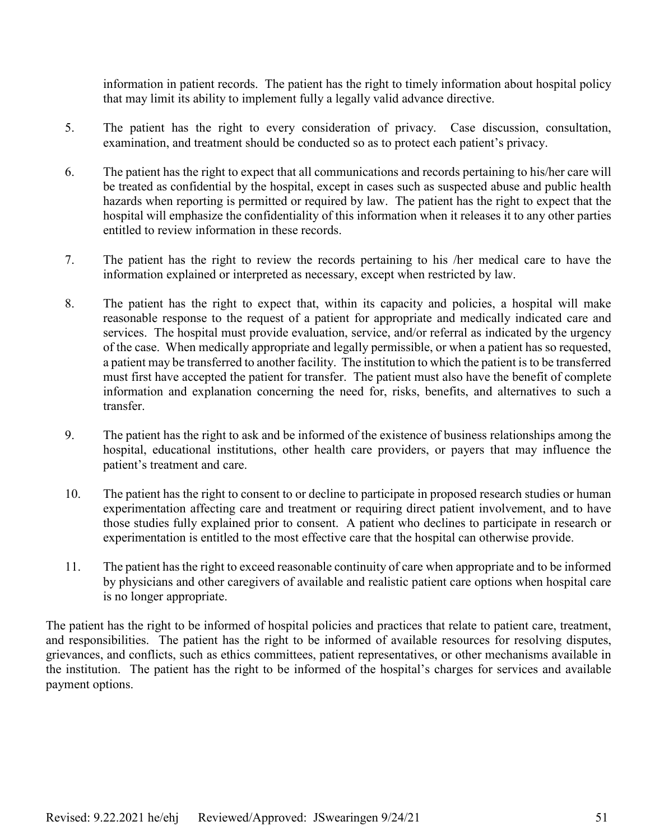information in patient records. The patient has the right to timely information about hospital policy that may limit its ability to implement fully a legally valid advance directive.

- 5. The patient has the right to every consideration of privacy. Case discussion, consultation, examination, and treatment should be conducted so as to protect each patient's privacy.
- 6. The patient has the right to expect that all communications and records pertaining to his/her care will be treated as confidential by the hospital, except in cases such as suspected abuse and public health hazards when reporting is permitted or required by law. The patient has the right to expect that the hospital will emphasize the confidentiality of this information when it releases it to any other parties entitled to review information in these records.
- 7. The patient has the right to review the records pertaining to his /her medical care to have the information explained or interpreted as necessary, except when restricted by law.
- 8. The patient has the right to expect that, within its capacity and policies, a hospital will make reasonable response to the request of a patient for appropriate and medically indicated care and services. The hospital must provide evaluation, service, and/or referral as indicated by the urgency of the case. When medically appropriate and legally permissible, or when a patient has so requested, a patient may be transferred to another facility. The institution to which the patient is to be transferred must first have accepted the patient for transfer. The patient must also have the benefit of complete information and explanation concerning the need for, risks, benefits, and alternatives to such a transfer.
- 9. The patient has the right to ask and be informed of the existence of business relationships among the hospital, educational institutions, other health care providers, or payers that may influence the patient's treatment and care.
- 10. The patient has the right to consent to or decline to participate in proposed research studies or human experimentation affecting care and treatment or requiring direct patient involvement, and to have those studies fully explained prior to consent. A patient who declines to participate in research or experimentation is entitled to the most effective care that the hospital can otherwise provide.
- 11. The patient has the right to exceed reasonable continuity of care when appropriate and to be informed by physicians and other caregivers of available and realistic patient care options when hospital care is no longer appropriate.

The patient has the right to be informed of hospital policies and practices that relate to patient care, treatment, and responsibilities. The patient has the right to be informed of available resources for resolving disputes, grievances, and conflicts, such as ethics committees, patient representatives, or other mechanisms available in the institution. The patient has the right to be informed of the hospital's charges for services and available payment options.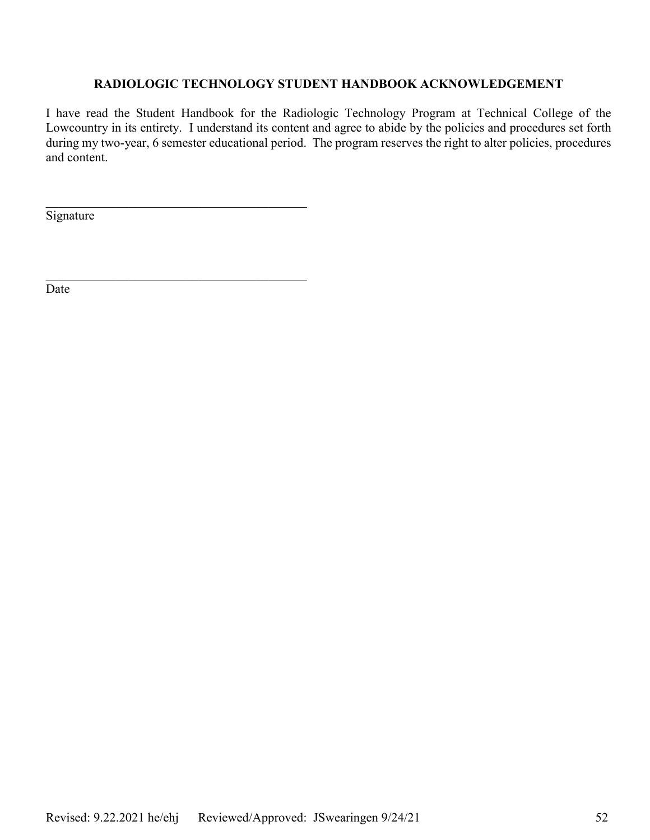# **RADIOLOGIC TECHNOLOGY STUDENT HANDBOOK ACKNOWLEDGEMENT**

I have read the Student Handbook for the Radiologic Technology Program at Technical College of the Lowcountry in its entirety. I understand its content and agree to abide by the policies and procedures set forth during my two-year, 6 semester educational period. The program reserves the right to alter policies, procedures and content.

**Signature** 

 $\mathcal{L}_\mathcal{L}$  , and the set of the set of the set of the set of the set of the set of the set of the set of the set of the set of the set of the set of the set of the set of the set of the set of the set of the set of th

 $\mathcal{L}_\mathcal{L}$  , and the set of the set of the set of the set of the set of the set of the set of the set of the set of the set of the set of the set of the set of the set of the set of the set of the set of the set of th

**Date**